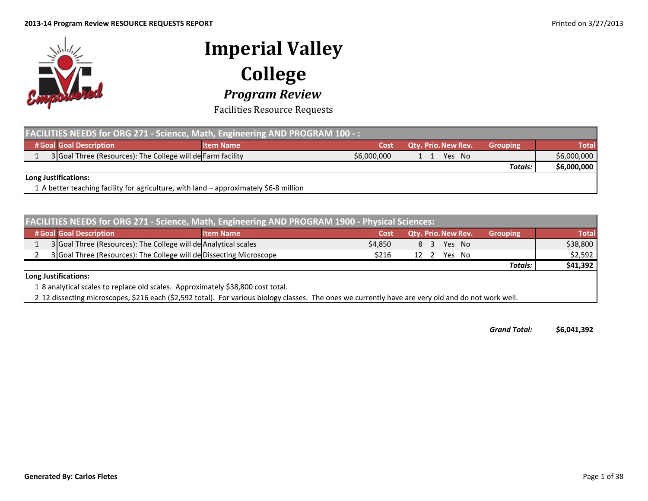

Facilities Resource Requests

| <b>FACILITIES NEEDS for ORG 271 - Science, Math, Engineering AND PROGRAM 100 -: A</b> |                                                                                       |                  |             |                            |                 |              |  |  |
|---------------------------------------------------------------------------------------|---------------------------------------------------------------------------------------|------------------|-------------|----------------------------|-----------------|--------------|--|--|
|                                                                                       | # Goal Goal Description                                                               | <b>Item Name</b> | Cost        | <b>Qty. Prio. New Rev.</b> | <b>Grouping</b> | <b>Total</b> |  |  |
|                                                                                       | 3 Goal Three (Resources): The College will de Farm facility                           |                  | \$6,000,000 | Yes No                     |                 | \$6,000,000  |  |  |
|                                                                                       |                                                                                       |                  |             |                            | Totals:         | \$6,000,000  |  |  |
| Long Justifications:                                                                  |                                                                                       |                  |             |                            |                 |              |  |  |
|                                                                                       | 1 A better teaching facility for agriculture, with land – approximately \$6-8 million |                  |             |                            |                 |              |  |  |

| FACILITIES NEEDS for ORG 271 - Science, Math, Engineering AND PROGRAM 1900 - Physical Sciences: |                  |         |  |      |                     |  |                 |              |
|-------------------------------------------------------------------------------------------------|------------------|---------|--|------|---------------------|--|-----------------|--------------|
| # Goal Goal Description                                                                         | <b>Item Name</b> | Cost    |  |      | Qty. Prio. New Rev. |  | <b>Grouping</b> | <b>Total</b> |
| 3 Goal Three (Resources): The College will de Analytical scales                                 |                  | \$4,850 |  | 8 3  | Yes No              |  |                 | \$38,800     |
| 3 Goal Three (Resources): The College will de Dissecting Microscope                             |                  | \$216   |  | 12 2 | Yes No              |  |                 | \$2,592      |
|                                                                                                 |                  |         |  |      |                     |  | <b>Totals:</b>  | \$41,392     |
| Long Justifications:                                                                            |                  |         |  |      |                     |  |                 |              |
| 1 8 analytical scales to replace old scales. Approximately \$38,800 cost total.                 |                  |         |  |      |                     |  |                 |              |

2 12 dissecting microscopes, \$216 each (\$2,592 total). For various biology classes. The ones we currently have are very old and do not work well.

*GrandTotal:* **\$6,041,392**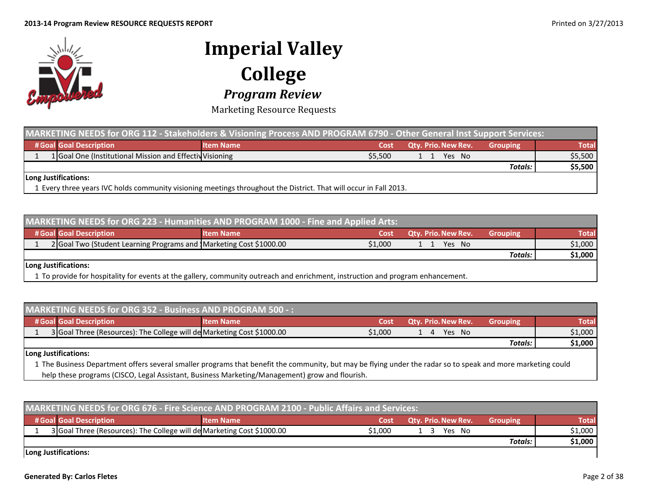

Marketing Resource Requests

| MARKETING NEEDS for ORG 112 - Stakeholders & Visioning Process AND PROGRAM 6790 - Other General Inst Support Services: |                                                                                                                   |         |                            |                 |              |  |  |  |
|------------------------------------------------------------------------------------------------------------------------|-------------------------------------------------------------------------------------------------------------------|---------|----------------------------|-----------------|--------------|--|--|--|
| # Goal Goal Description                                                                                                | <b>Item Name</b>                                                                                                  | Cost    | <b>Qty. Prio. New Rev.</b> | <b>Grouping</b> | <b>Total</b> |  |  |  |
| 1 Goal One (Institutional Mission and Effectiv Visioning                                                               |                                                                                                                   | \$5.500 | Yes No<br>11               |                 | \$5,500      |  |  |  |
|                                                                                                                        |                                                                                                                   |         |                            | <b>Totals:</b>  | \$5,500      |  |  |  |
| Long Justifications:                                                                                                   |                                                                                                                   |         |                            |                 |              |  |  |  |
|                                                                                                                        | 1 Every three years IVC holds community visioning meetings throughout the District. That will occur in Fall 2013. |         |                            |                 |              |  |  |  |

| <b>MARKETING NEEDS for ORG 223 - Humanities AND PROGRAM 1000 - Fine and Applied Arts:</b>                                       |                  |         |                            |                 |              |  |  |  |
|---------------------------------------------------------------------------------------------------------------------------------|------------------|---------|----------------------------|-----------------|--------------|--|--|--|
| # Goal Goal Description                                                                                                         | <b>Item Name</b> | Cost    | <b>Qtv. Prio. New Rev.</b> | <b>Grouping</b> | <b>Total</b> |  |  |  |
| 2 Goal Two (Student Learning Programs and Marketing Cost \$1000.00                                                              |                  | \$1.000 | Yes No                     |                 | \$1,000      |  |  |  |
|                                                                                                                                 |                  |         |                            | <b>Totals:</b>  | \$1,000      |  |  |  |
| Long Justifications:                                                                                                            |                  |         |                            |                 |              |  |  |  |
| 1 To provide for hospitality for events at the gallery, community outreach and enrichment, instruction and program enhancement. |                  |         |                            |                 |              |  |  |  |

| <b>MARKETING NEEDS for ORG 352 - Business AND PROGRAM 500 -:</b> |                                                                        |                  |         |                            |                 |              |  |  |
|------------------------------------------------------------------|------------------------------------------------------------------------|------------------|---------|----------------------------|-----------------|--------------|--|--|
|                                                                  | # Goal Goal Description                                                | <b>Item Name</b> | Cost    | <b>Qty. Prio. New Rev.</b> | <b>Grouping</b> | <b>Total</b> |  |  |
|                                                                  | 3 Goal Three (Resources): The College will de Marketing Cost \$1000.00 |                  | \$1.000 | Yes No<br>14               |                 | \$1,000      |  |  |
|                                                                  |                                                                        |                  |         |                            | Totals:         | \$1,000      |  |  |
|                                                                  | Long Justifications:                                                   |                  |         |                            |                 |              |  |  |

1 The Business Department offers several smaller programs that benefit the community, but may be flying under the radar so to speak and more marketing could help these programs (CISCO, Legal Assistant, Business Marketing/Management) grow and flourish.

| MARKETING NEEDS for ORG 676 - Fire Science AND PROGRAM 2100 - Public Affairs and Services: |                  |         |                            |                 |         |  |  |  |
|--------------------------------------------------------------------------------------------|------------------|---------|----------------------------|-----------------|---------|--|--|--|
| # Goal Goal Description                                                                    | <b>Item Name</b> | Cost    | <b>Qty. Prio. New Rev.</b> | <b>Grouping</b> | Total   |  |  |  |
| 3 Goal Three (Resources): The College will de Marketing Cost \$1000.00                     |                  | \$1.000 | Yes No                     |                 | \$1,000 |  |  |  |
|                                                                                            |                  |         |                            | Totals:         | \$1,000 |  |  |  |

**Long Justifications:**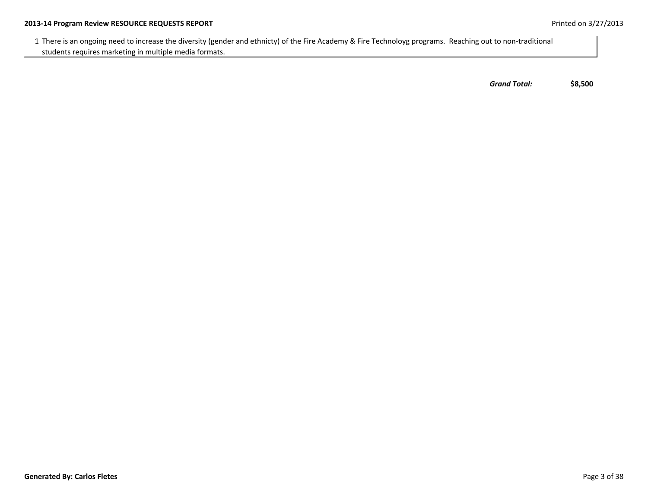1 There is an ongoing need to increase the diversity (gender and ethnicty) of the Fire Academy & Fire Technoloyg programs. Reaching out to non‐traditional students requires marketing in multiple media formats.

*Grand Total:* **\$8,500**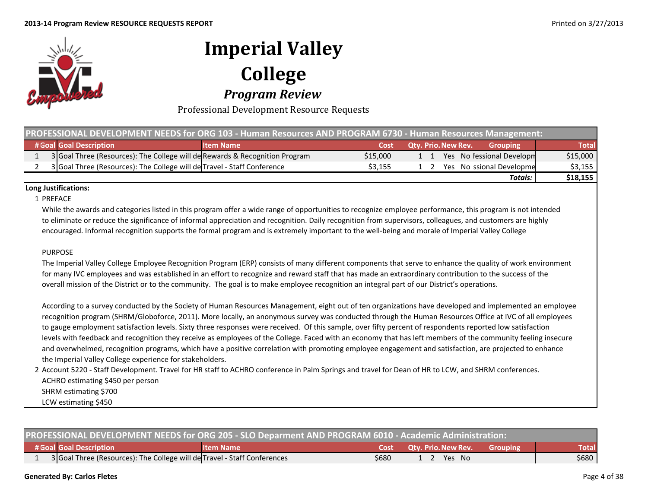

Professional Development Resource Requests

| PROFESSIONAL DEVELOPMENT NEEDS for ORG 103 - Human Resources AND PROGRAM 6730 - Human Resources Management: |                                                                             |                  |          |                            |                           |              |  |  |
|-------------------------------------------------------------------------------------------------------------|-----------------------------------------------------------------------------|------------------|----------|----------------------------|---------------------------|--------------|--|--|
|                                                                                                             | # Goal Goal Description                                                     | <b>Item Name</b> | Cost     | <b>Qty. Prio. New Rev.</b> | <b>Grouping</b>           | <b>Total</b> |  |  |
|                                                                                                             | 3 Goal Three (Resources): The College will de Rewards & Recognition Program |                  | \$15,000 | 1 1                        | Yes No fessional Developm | \$15,000     |  |  |
|                                                                                                             | 3 Goal Three (Resources): The College will de Travel - Staff Conference     |                  | \$3.155  |                            | Yes No ssional Developme  | \$3,155      |  |  |
|                                                                                                             |                                                                             |                  |          |                            | Totals:                   | \$18,155     |  |  |

### **Long Justifications:**

### 1 PREFACE

While the awards and categories listed in this program offer <sup>a</sup> wide range of opportunities to recognize employee performance, this program is not intended to eliminate or reduce the significance of informal appreciation and recognition. Daily recognition from supervisors, colleagues, and customers are highly encouraged. Informal recognition supports the formal program and is extremely important to the well‐being and morale of Imperial Valley College

### PURPOSE

The Imperial Valley College Employee Recognition Program (ERP) consists of many different components that serve to enhance the quality of work environment for many IVC employees and was established in an effort to recognize and reward staff that has made an extraordinary contribution to the success of the overall mission of the District or to the community. The goal is to make employee recognition an integral part of our District's operations.

According to <sup>a</sup> survey conducted by the Society of Human Resources Management, eight out of ten organizations have developed and implemented an employee recognition program (SHRM/Globoforce, 2011). More locally, an anonymous survey was conducted through the Human Resources Office at IVC of all employees to gauge employment satisfaction levels. Sixty three responses were received. Of this sample, over fifty percent of respondents reported low satisfaction levels with feedback and recognition they receive as employees of the College. Faced with an economy that has left members of the community feeling insecure and overwhelmed, recognition programs, which have <sup>a</sup> positive correlation with promoting employee engagement and satisfaction, are projected to enhance the Imperial Valley College experience for stakeholders.

2 Account 5220 ‐ Staff Development. Travel for HR staff to ACHRO conference in Palm Springs and travel for Dean of HR to LCW, and SHRM conferences. ACHRO estimating \$450 per person SHRM estimating \$700 LCW estimating \$450

| PROFESSIONAL DEVELOPMENT NEEDS for ORG 205 - SLO Deparment AND PROGRAM 6010 - Academic Administration: |                  |       |                                          |  |       |  |  |
|--------------------------------------------------------------------------------------------------------|------------------|-------|------------------------------------------|--|-------|--|--|
| # Goal Goal Description                                                                                | <b>Item Name</b> |       | <b>Cost Qty. Prio. New Rev.</b> Grouping |  | Total |  |  |
| 3 Goal Three (Resources): The College will de Travel - Staff Conferences                               |                  | \$680 | 2 Yes No                                 |  | \$680 |  |  |

#### **GeneratedBy: Carlos Fletes** Page 4 of 38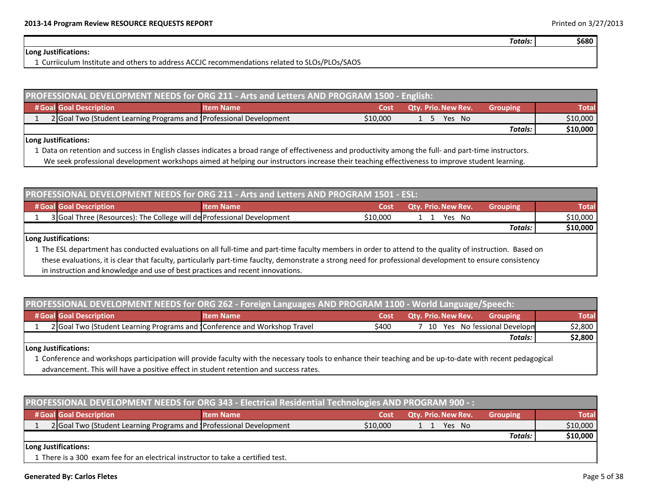**\$680**

*Totals:*

### **Long Justifications:**

1 Curriiculum Institute and others to address ACCJC recommendations related to SLOs/PLOs/SAOS

| PROFESSIONAL DEVELOPMENT NEEDS for ORG 211 - Arts and Letters AND PROGRAM 1500 - English: |                  |          |                            |                 |              |  |  |  |
|-------------------------------------------------------------------------------------------|------------------|----------|----------------------------|-----------------|--------------|--|--|--|
| # Goal Goal Description                                                                   | <b>Item Name</b> | Cost     | <b>Qty. Prio. New Rev.</b> | <b>Grouping</b> | <b>Total</b> |  |  |  |
| 2 Goal Two (Student Learning Programs and Professional Development                        |                  | \$10,000 | Yes No<br>- 5              |                 | \$10,000     |  |  |  |
|                                                                                           |                  |          |                            | Totals:         | \$10,000     |  |  |  |
| ll ong luctifications:                                                                    |                  |          |                            |                 |              |  |  |  |

**Long Justifications:**

1 Data on retention and success in English classes indicates <sup>a</sup> broad range of effectiveness and productivity among the full‐ and part‐time instructors.

We seek professional development workshops aimed at helping our instructors increase their teaching effectiveness to improve student learning.

| <b>PROFESSIONAL DEVELOPMENT NEEDS for ORG 211 - Arts and Letters AND PROGRAM 1501 - ESL:</b> |                                                                        |                  |          |                            |                 |          |  |  |
|----------------------------------------------------------------------------------------------|------------------------------------------------------------------------|------------------|----------|----------------------------|-----------------|----------|--|--|
|                                                                                              | # Goal Goal Description                                                | <b>Item Name</b> | Cost     | <b>Qty. Prio. New Rev.</b> | <b>Grouping</b> | Total    |  |  |
|                                                                                              | 3 Goal Three (Resources): The College will de Professional Development |                  | \$10,000 | Yes No                     |                 | \$10,000 |  |  |
|                                                                                              |                                                                        |                  |          |                            | Totals:         | \$10,000 |  |  |

### **Long Justifications:**

1 The ESL department has conducted evaluations on all full‐time and part‐time faculty members in order to attend to the quality of instruction. Based on these evaluations, it is clear that faculty, particularly part‐time fauclty, demonstrate <sup>a</sup> strong need for professional development to ensure consistency in instruction and knowledge and use of best practices and recent innovations.

| PROFESSIONAL DEVELOPMENT NEEDS for ORG 262 - Foreign Languages AND PROGRAM 1100 - World Language/Speech: |                                                                          |                  |       |                            |                                |              |  |
|----------------------------------------------------------------------------------------------------------|--------------------------------------------------------------------------|------------------|-------|----------------------------|--------------------------------|--------------|--|
|                                                                                                          | # Goal Goal Description                                                  | <b>Item Name</b> | Cost  | <b>Qty. Prio. New Rev.</b> | <b>Grouping</b>                | <b>Total</b> |  |
|                                                                                                          | 2 Goal Two (Student Learning Programs and Conference and Workshop Travel |                  | \$400 |                            | 7 10 Yes No fessional Developm | \$2,800      |  |
|                                                                                                          |                                                                          |                  |       |                            | <b>Totals:</b>                 | \$2,800      |  |
|                                                                                                          | Long Justifications:                                                     |                  |       |                            |                                |              |  |

1 Conference and workshops participation will provide faculty with the necessary tools to enhance their teaching and be up‐to‐date with recent pedagogical advancement. This will have <sup>a</sup> positive effect in student retention and success rates.

| PROFESSIONAL DEVELOPMENT NEEDS for ORG 343 - Electrical Residential Technologies AND PROGRAM 900 -: |                  |          |                            |                 |          |  |  |  |
|-----------------------------------------------------------------------------------------------------|------------------|----------|----------------------------|-----------------|----------|--|--|--|
| # Goal Goal Description                                                                             | <b>Item Name</b> | Cost     | <b>Qty. Prio. New Rev.</b> | <b>Grouping</b> | Total    |  |  |  |
| 2 Goal Two (Student Learning Programs and Professional Development                                  |                  | \$10,000 | Yes No                     |                 | \$10,000 |  |  |  |
|                                                                                                     |                  |          |                            | Totals:         | \$10,000 |  |  |  |
| Long Justifications:                                                                                |                  |          |                            |                 |          |  |  |  |
| 1 There is a 300 exam fee for an electrical instructor to take a certified test.                    |                  |          |                            |                 |          |  |  |  |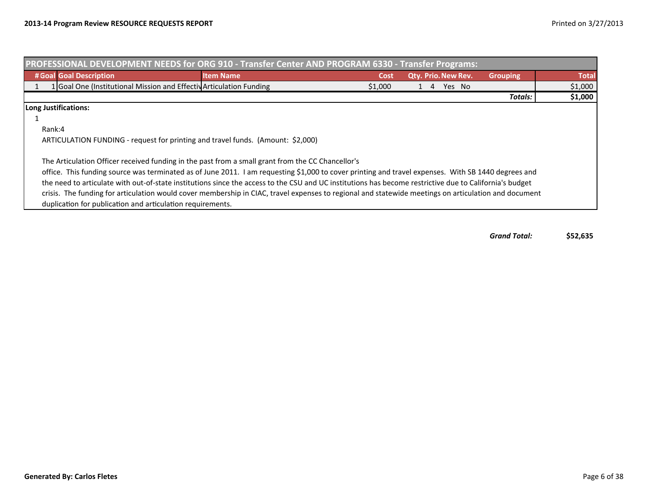| PROFESSIONAL DEVELOPMENT NEEDS for ORG 910 - Transfer Center AND PROGRAM 6330 - Transfer Programs:                                                                                                                                                       |                  |         |  |    |                     |                 |              |
|----------------------------------------------------------------------------------------------------------------------------------------------------------------------------------------------------------------------------------------------------------|------------------|---------|--|----|---------------------|-----------------|--------------|
| # Goal Goal Description                                                                                                                                                                                                                                  | <b>Item Name</b> | Cost    |  |    | Qty. Prio. New Rev. | <b>Grouping</b> | <b>Total</b> |
| 1 Goal One (Institutional Mission and Effectiv Articulation Funding                                                                                                                                                                                      |                  | \$1,000 |  | -4 | Yes No              |                 | \$1,000      |
|                                                                                                                                                                                                                                                          |                  |         |  |    |                     | Totals:         | \$1,000      |
| Long Justifications:                                                                                                                                                                                                                                     |                  |         |  |    |                     |                 |              |
|                                                                                                                                                                                                                                                          |                  |         |  |    |                     |                 |              |
| Rank:4                                                                                                                                                                                                                                                   |                  |         |  |    |                     |                 |              |
| ARTICULATION FUNDING - request for printing and travel funds. (Amount: \$2,000)                                                                                                                                                                          |                  |         |  |    |                     |                 |              |
| The Articulation Officer received funding in the past from a small grant from the CC Chancellor's<br>office. This funding source was terminated as of June 2011. I am requesting \$1,000 to cover printing and travel expenses. With SB 1440 degrees and |                  |         |  |    |                     |                 |              |
| the need to articulate with out-of-state institutions since the access to the CSU and UC institutions has become restrictive due to California's budget                                                                                                  |                  |         |  |    |                     |                 |              |
| crisis. The funding for articulation would cover membership in CIAC, travel expenses to regional and statewide meetings on articulation and document                                                                                                     |                  |         |  |    |                     |                 |              |
| duplication for publication and articulation requirements.                                                                                                                                                                                               |                  |         |  |    |                     |                 |              |

*GrandTotal:* **\$52,635**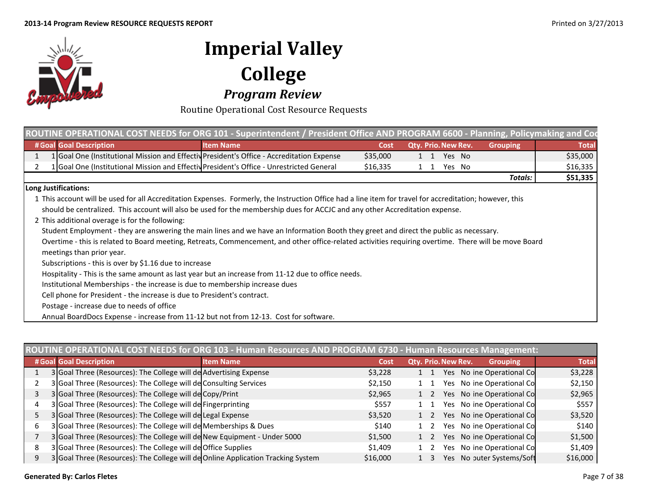

Routine Operational Cost Resource Requests

|                                                                                                                                                          | ROUTINE OPERATIONAL COST NEEDS for ORG 101 - Superintendent / President Office AND PROGRAM 6600 - Planning, Policymaking and Cod                      |          |  |             |                     |                 |              |  |
|----------------------------------------------------------------------------------------------------------------------------------------------------------|-------------------------------------------------------------------------------------------------------------------------------------------------------|----------|--|-------------|---------------------|-----------------|--------------|--|
| # Goal Goal Description                                                                                                                                  | <b>Item Name</b>                                                                                                                                      | Cost     |  |             | Qty. Prio. New Rev. | <b>Grouping</b> | <b>Total</b> |  |
| 1 Goal One (Institutional Mission and Effectiv President's Office - Accreditation Expense                                                                |                                                                                                                                                       | \$35,000 |  | $1 \quad 1$ | Yes No              |                 | \$35,000     |  |
| 1 Goal One (Institutional Mission and Effectiv President's Office - Unrestricted General                                                                 |                                                                                                                                                       | \$16,335 |  | 1 1         | Yes No              |                 | \$16,335     |  |
|                                                                                                                                                          |                                                                                                                                                       |          |  |             |                     | Totals:         | \$51,335     |  |
| Long Justifications:                                                                                                                                     |                                                                                                                                                       |          |  |             |                     |                 |              |  |
| 1 This account will be used for all Accreditation Expenses. Formerly, the Instruction Office had a line item for travel for accreditation; however, this |                                                                                                                                                       |          |  |             |                     |                 |              |  |
|                                                                                                                                                          | should be centralized. This account will also be used for the membership dues for ACCJC and any other Accreditation expense.                          |          |  |             |                     |                 |              |  |
| 2 This additional overage is for the following:                                                                                                          |                                                                                                                                                       |          |  |             |                     |                 |              |  |
|                                                                                                                                                          | Student Employment - they are answering the main lines and we have an Information Booth they greet and direct the public as necessary.                |          |  |             |                     |                 |              |  |
|                                                                                                                                                          | Overtime - this is related to Board meeting, Retreats, Commencement, and other office-related activities requiring overtime. There will be move Board |          |  |             |                     |                 |              |  |
| meetings than prior year.                                                                                                                                |                                                                                                                                                       |          |  |             |                     |                 |              |  |
| Subscriptions - this is over by \$1.16 due to increase                                                                                                   |                                                                                                                                                       |          |  |             |                     |                 |              |  |
|                                                                                                                                                          | Hospitality - This is the same amount as last year but an increase from 11-12 due to office needs.                                                    |          |  |             |                     |                 |              |  |
| Institutional Memberships - the increase is due to membership increase dues                                                                              |                                                                                                                                                       |          |  |             |                     |                 |              |  |
| Cell phone for President - the increase is due to President's contract.                                                                                  |                                                                                                                                                       |          |  |             |                     |                 |              |  |
| Postage - increase due to needs of office                                                                                                                |                                                                                                                                                       |          |  |             |                     |                 |              |  |
| Annual BoardDocs Expense - increase from 11-12 but not from 12-13. Cost for software.                                                                    |                                                                                                                                                       |          |  |             |                     |                 |              |  |

|   | JTINE OPERATIONAL COST NEEDS for ORG 103 - Human Resources AND PROGRAM 6730 - Human Resources Management: |                  |          |  |                     |  |                           |              |  |  |
|---|-----------------------------------------------------------------------------------------------------------|------------------|----------|--|---------------------|--|---------------------------|--------------|--|--|
|   | # Goal Goal Description                                                                                   | <b>Item Name</b> | Cost     |  | Qty. Prio. New Rev. |  | <b>Grouping</b>           | <b>Total</b> |  |  |
|   | 3 Goal Three (Resources): The College will de Advertising Expense                                         |                  | \$3,228  |  |                     |  | Yes No ine Operational Co | \$3,228      |  |  |
|   | 3 Goal Three (Resources): The College will de Consulting Services                                         |                  | \$2,150  |  |                     |  | Yes No ine Operational Co | \$2,150      |  |  |
|   | 3 Goal Three (Resources): The College will de Copy/Print                                                  |                  | \$2,965  |  |                     |  | Yes No ine Operational Co | \$2,965      |  |  |
| 4 | 3 Goal Three (Resources): The College will de Fingerprinting                                              |                  | \$557    |  |                     |  | Yes No ine Operational Co | \$557        |  |  |
|   | 3 Goal Three (Resources): The College will de Legal Expense                                               |                  | \$3,520  |  |                     |  | Yes No ine Operational Co | \$3,520      |  |  |
| 6 | 3 Goal Three (Resources): The College will de Memberships & Dues                                          |                  | \$140    |  |                     |  | Yes No ine Operational Co | \$140        |  |  |
|   | 3 Goal Three (Resources): The College will de New Equipment - Under 5000                                  |                  | \$1,500  |  |                     |  | Yes No ine Operational Co | \$1,500      |  |  |
| 8 | 3 Goal Three (Resources): The College will de Office Supplies                                             |                  | \$1,409  |  |                     |  | Yes No ine Operational Co | \$1,409      |  |  |
| 9 | 3 Goal Three (Resources): The College will de Online Application Tracking System                          |                  | \$16,000 |  |                     |  | Yes No outer Systems/Soft | \$16,000     |  |  |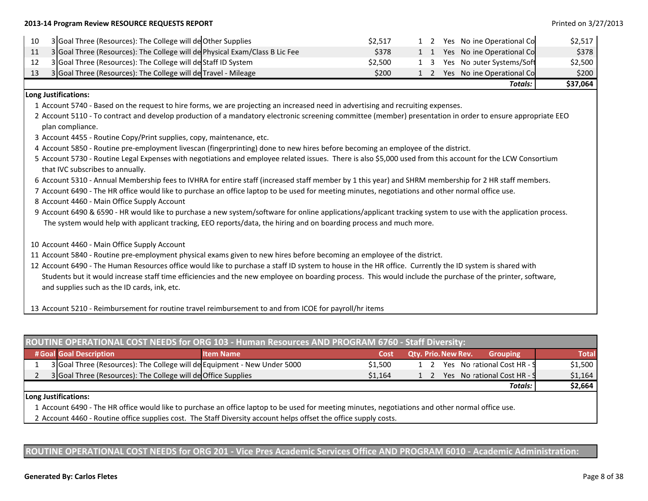### **2013‐14 Program Review RESOURCE REQUESTS REPORT** Printed on 3/27/2013

| 10 | 3 Goal Three (Resources): The College will de Other Supplies                                                                                                                                               | \$2,517 |  | 1 2 |  | Yes No ine Operational Co     | \$2,517  |  |  |  |
|----|------------------------------------------------------------------------------------------------------------------------------------------------------------------------------------------------------------|---------|--|-----|--|-------------------------------|----------|--|--|--|
| 11 | 3 Goal Three (Resources): The College will de Physical Exam/Class B Lic Fee                                                                                                                                | \$378   |  | 1 1 |  | Yes No ine Operational Co     | \$378    |  |  |  |
| 12 | 3 Goal Three (Resources): The College will de Staff ID System                                                                                                                                              | \$2,500 |  | 1 3 |  | Yes No outer Systems/Soft     | \$2,500  |  |  |  |
| 13 | 3 Goal Three (Resources): The College will de Travel - Mileage                                                                                                                                             | \$200   |  |     |  | 1 2 Yes No ine Operational Co | \$200    |  |  |  |
|    |                                                                                                                                                                                                            |         |  |     |  | Totals:                       | \$37,064 |  |  |  |
|    | Long Justifications:                                                                                                                                                                                       |         |  |     |  |                               |          |  |  |  |
|    | 1 Account 5740 - Based on the request to hire forms, we are projecting an increased need in advertising and recruiting expenses.                                                                           |         |  |     |  |                               |          |  |  |  |
|    | 2 Account 5110 - To contract and develop production of a mandatory electronic screening committee (member) presentation in order to ensure appropriate EEO<br>plan compliance.                             |         |  |     |  |                               |          |  |  |  |
|    | 3 Account 4455 - Routine Copy/Print supplies, copy, maintenance, etc.                                                                                                                                      |         |  |     |  |                               |          |  |  |  |
|    | 4 Account 5850 - Routine pre-employment livescan (fingerprinting) done to new hires before becoming an employee of the district.                                                                           |         |  |     |  |                               |          |  |  |  |
|    | 5 Account 5730 - Routine Legal Expenses with negotiations and employee related issues. There is also \$5,000 used from this account for the LCW Consortium<br>that IVC subscribes to annually.             |         |  |     |  |                               |          |  |  |  |
|    | 6 Account 5310 - Annual Membership fees to IVHRA for entire staff (increased staff member by 1 this year) and SHRM membership for 2 HR staff members.                                                      |         |  |     |  |                               |          |  |  |  |
|    | 7 Account 6490 - The HR office would like to purchase an office laptop to be used for meeting minutes, negotiations and other normal office use.                                                           |         |  |     |  |                               |          |  |  |  |
|    | 8 Account 4460 - Main Office Supply Account                                                                                                                                                                |         |  |     |  |                               |          |  |  |  |
|    | 9 Account 6490 & 6590 - HR would like to purchase a new system/software for online applications/applicant tracking system to use with the application process.                                             |         |  |     |  |                               |          |  |  |  |
|    | The system would help with applicant tracking, EEO reports/data, the hiring and on boarding process and much more.                                                                                         |         |  |     |  |                               |          |  |  |  |
|    | 10 Account 4460 - Main Office Supply Account                                                                                                                                                               |         |  |     |  |                               |          |  |  |  |
|    | 11 Account 5840 - Routine pre-employment physical exams given to new hires before becoming an employee of the district.                                                                                    |         |  |     |  |                               |          |  |  |  |
|    | 12 Account 6490 - The Human Resources office would like to purchase a staff ID system to house in the HR office. Currently the ID system is shared with                                                    |         |  |     |  |                               |          |  |  |  |
|    | Students but it would increase staff time efficiencies and the new employee on boarding process. This would include the purchase of the printer, software,<br>and supplies such as the ID cards, ink, etc. |         |  |     |  |                               |          |  |  |  |
|    |                                                                                                                                                                                                            |         |  |     |  |                               |          |  |  |  |

13 Account 5210 ‐ Reimbursement for routine travel reimbursement to and from ICOE for payroll/hr items

| ROUTINE OPERATIONAL COST NEEDS for ORG 103 - Human Resources AND PROGRAM 6760 - Staff Diversity: |                                                                          |                  |         |                                               |              |  |  |  |  |
|--------------------------------------------------------------------------------------------------|--------------------------------------------------------------------------|------------------|---------|-----------------------------------------------|--------------|--|--|--|--|
|                                                                                                  | # Goal Goal Description                                                  | <b>Item Name</b> | Cost    | <b>Qty. Prio. New Rev.</b><br><b>Grouping</b> | <b>Total</b> |  |  |  |  |
|                                                                                                  | 3 Goal Three (Resources): The College will de Equipment - New Under 5000 |                  | \$1.500 | Yes No rational Cost HR - S                   | \$1,500      |  |  |  |  |
|                                                                                                  | 3 Goal Three (Resources): The College will de Office Supplies            |                  | \$1.164 | Yes No rational Cost HR - S<br>1 2            | \$1,164      |  |  |  |  |
|                                                                                                  |                                                                          |                  |         | Totals:                                       | \$2,664      |  |  |  |  |

### **Long Justifications:**

1 Account 6490 ‐ The HR office would like to purchase an office laptop to be used for meeting minutes, negotiations and other normal office use.

2 Account 4460 ‐ Routine office supplies cost. The Staff Diversity account helps offset the office supply costs.

### ROUTINE OPERATIONAL COST NEEDS for ORG 201 - Vice Pres Academic Services Office AND PROGRAM 6010 - Academic Administration: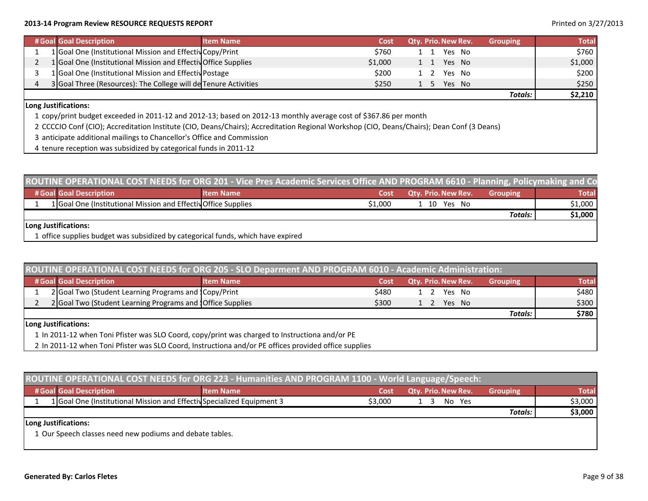### **2013‐14 Program Review RESOURCE REQUESTS REPORT** Printed on 3/27/2013

| # Goal Goal Description                                         | <b>Item Name</b> | Cost    |     |      | Qty. Prio. New Rev. | <b>Grouping</b> | <b>Total</b> |
|-----------------------------------------------------------------|------------------|---------|-----|------|---------------------|-----------------|--------------|
| 1 Goal One (Institutional Mission and Effectiv Copy/Print       |                  | \$760   |     | l 1  | Yes No              |                 | \$760        |
| 1 Goal One (Institutional Mission and Effectiv Office Supplies  |                  | \$1,000 | 1 1 |      | Yes No              |                 | \$1,000      |
| 1 Goal One (Institutional Mission and Effectiv Postage          |                  | \$200   |     |      | Yes No              |                 | \$200        |
| 3 Goal Three (Resources): The College will de Tenure Activities |                  | \$250   |     | $-5$ | Yes No              |                 | \$250        |
|                                                                 |                  |         |     |      |                     | <b>Totals:</b>  | \$2,210      |

### **Long Justifications:**

1 copy/print budget exceeded in 2011‐<sup>12</sup> and 2012‐13; based on 2012‐13 monthly average cost of \$367.86 per month

2 CCCCIO Conf (CIO); Accreditation Institute (CIO, Deans/Chairs); Accreditation Regional Workshop (CIO, Deans/Chairs); Dean Conf (3 Deans)

- 3 anticipate additional mailings to Chancellor's Office and Commission
- 4 tenure reception was subsidized by categorical funds in 2011‐12

| ROUTINE OPERATIONAL COST NEEDS for ORG 201 - Vice Pres Academic Services Office AND PROGRAM 6610 - Planning, Policymaking and Co |                  |         |                            |                 |              |  |  |  |  |
|----------------------------------------------------------------------------------------------------------------------------------|------------------|---------|----------------------------|-----------------|--------------|--|--|--|--|
| # Goal Goal Description                                                                                                          | <b>Item Name</b> | Cost    | <b>Qty. Prio. New Rev.</b> | <b>Grouping</b> | <b>Total</b> |  |  |  |  |
| 1 Goal One (Institutional Mission and Effectiv Office Supplies                                                                   |                  | \$1,000 | l 10 Yes No                |                 | \$1,000      |  |  |  |  |
|                                                                                                                                  |                  |         |                            | Totals:         | \$1,000      |  |  |  |  |
| Long Justifications:                                                                                                             |                  |         |                            |                 |              |  |  |  |  |
| 1 office supplies budget was subsidized by categorical funds, which have expired                                                 |                  |         |                            |                 |              |  |  |  |  |

| ROUTINE OPERATIONAL COST NEEDS for ORG 205 - SLO Deparment AND PROGRAM 6010 - Academic Administration: |                                                                                                |                                                                                                       |       |                            |                 |              |  |  |  |
|--------------------------------------------------------------------------------------------------------|------------------------------------------------------------------------------------------------|-------------------------------------------------------------------------------------------------------|-------|----------------------------|-----------------|--------------|--|--|--|
|                                                                                                        | # Goal Goal Description                                                                        | <b>Item Name</b>                                                                                      | Cost  | <b>Qty. Prio. New Rev.</b> | <b>Grouping</b> | <b>Total</b> |  |  |  |
|                                                                                                        | 2 Goal Two (Student Learning Programs and Copy/Print                                           |                                                                                                       | \$480 | Yes No                     |                 | \$480        |  |  |  |
|                                                                                                        | 2 Goal Two (Student Learning Programs and Office Supplies                                      |                                                                                                       | \$300 | Yes No<br>$1\quad 2$       |                 | \$300        |  |  |  |
|                                                                                                        |                                                                                                |                                                                                                       |       |                            | <b>Totals:</b>  | \$780        |  |  |  |
|                                                                                                        | Long Justifications:                                                                           |                                                                                                       |       |                            |                 |              |  |  |  |
|                                                                                                        | 1 In 2011-12 when Toni Pfister was SLO Coord, copy/print was charged to Instructiona and/or PE |                                                                                                       |       |                            |                 |              |  |  |  |
|                                                                                                        |                                                                                                | 2 In 2011-12 when Toni Pfister was SLO Coord, Instructiona and/or PE offices provided office supplies |       |                            |                 |              |  |  |  |

| ROUTINE OPERATIONAL COST NEEDS for ORG 223 - Humanities AND PROGRAM 1100 - World Language/Speech: |                  |         |                            |                 |              |  |  |  |  |  |
|---------------------------------------------------------------------------------------------------|------------------|---------|----------------------------|-----------------|--------------|--|--|--|--|--|
| # Goal Goal Description                                                                           | <b>Item Name</b> | Cost    | <b>Qty. Prio. New Rev.</b> | <b>Grouping</b> | <b>Total</b> |  |  |  |  |  |
| 1 Goal One (Institutional Mission and Effectiv Specialized Equipment 3                            |                  | \$3,000 | No Yes                     |                 | \$3,000      |  |  |  |  |  |
|                                                                                                   |                  |         |                            | <b>Totals:</b>  | \$3,000      |  |  |  |  |  |
| Long Justifications:                                                                              |                  |         |                            |                 |              |  |  |  |  |  |
| 1 Our Speech classes need new podiums and debate tables.                                          |                  |         |                            |                 |              |  |  |  |  |  |
|                                                                                                   |                  |         |                            |                 |              |  |  |  |  |  |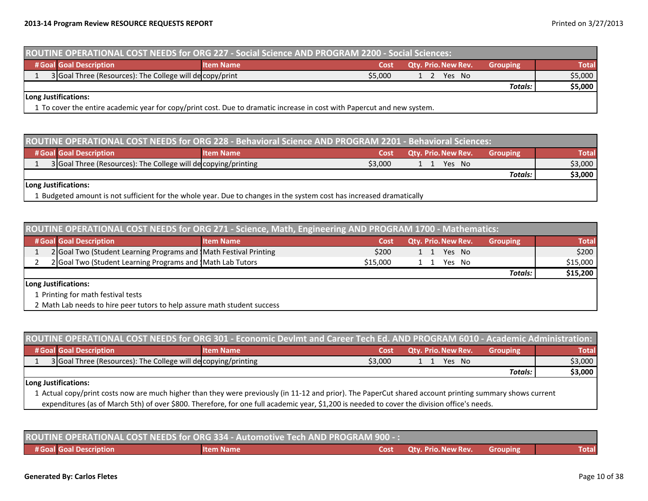| ROUTINE OPERATIONAL COST NEEDS for ORG 227 - Social Science AND PROGRAM 2200 - Social Sciences:                                                                                                                                                                                |                  |         |                            |                 |              |  |  |  |  |
|--------------------------------------------------------------------------------------------------------------------------------------------------------------------------------------------------------------------------------------------------------------------------------|------------------|---------|----------------------------|-----------------|--------------|--|--|--|--|
| # Goal Goal Description                                                                                                                                                                                                                                                        | <b>Item Name</b> | Cost    | <b>Qty. Prio. New Rev.</b> | <b>Grouping</b> | <b>Total</b> |  |  |  |  |
| 3 Goal Three (Resources): The College will decopy/print                                                                                                                                                                                                                        |                  | \$5,000 | Yes No<br>1 2              |                 | \$5,000      |  |  |  |  |
|                                                                                                                                                                                                                                                                                |                  |         |                            | Totals:         | \$5,000      |  |  |  |  |
| Long Justifications:<br>$\blacktriangle$ $\blacktriangleright$ . The contract of the second of the contraction of the contract of the contract of the contract of the contract of the contract of the contract of the contract of the contract of the contract of the contract |                  |         |                            |                 |              |  |  |  |  |

1 To cover the entire academic year for copy/print cost. Due to dramatic increase in cost with Papercut and new system.

| ROUTINE OPERATIONAL COST NEEDS for ORG 228 - Behavioral Science AND PROGRAM 2201 - Behavioral Sciences: |                                                                |                                                                                                                      |         |                     |                 |              |  |  |  |
|---------------------------------------------------------------------------------------------------------|----------------------------------------------------------------|----------------------------------------------------------------------------------------------------------------------|---------|---------------------|-----------------|--------------|--|--|--|
|                                                                                                         | # Goal Goal Description                                        | <b>Item Name</b>                                                                                                     | Cost    | Qty. Prio. New Rev. | <b>Grouping</b> | <b>Total</b> |  |  |  |
|                                                                                                         | 3 Goal Three (Resources): The College will de copying/printing |                                                                                                                      | \$3,000 | Yes No              |                 | \$3,000      |  |  |  |
|                                                                                                         |                                                                |                                                                                                                      |         |                     | Totals:         | \$3,000      |  |  |  |
|                                                                                                         | Long Justifications:                                           |                                                                                                                      |         |                     |                 |              |  |  |  |
|                                                                                                         |                                                                | L Budgeted amount is not sufficient for the whole year. Due to changes in the system cost has increased dramatically |         |                     |                 |              |  |  |  |

| ROUTINE OPERATIONAL COST NEEDS for ORG 271 - Science, Math, Engineering AND PROGRAM 1700 - Mathematics: |                  |          |                            |                 |              |  |  |  |  |
|---------------------------------------------------------------------------------------------------------|------------------|----------|----------------------------|-----------------|--------------|--|--|--|--|
| # Goal Goal Description                                                                                 | <b>Item Name</b> | Cost     | <b>Qtv. Prio. New Rev.</b> | <b>Grouping</b> | <b>Total</b> |  |  |  |  |
| 2 Goal Two (Student Learning Programs and Math Festival Printing                                        |                  | \$200    | Yes No                     |                 | \$200        |  |  |  |  |
| 2 Goal Two (Student Learning Programs and Math Lab Tutors                                               |                  | \$15,000 | Yes No                     |                 | \$15,000     |  |  |  |  |
|                                                                                                         |                  |          |                            | Totals:         | \$15,200     |  |  |  |  |
| Long Justifications:                                                                                    |                  |          |                            |                 |              |  |  |  |  |
| 1 Printing for math festival tests                                                                      |                  |          |                            |                 |              |  |  |  |  |
| 2 Math Lab needs to hire peer tutors to help assure math student success                                |                  |          |                            |                 |              |  |  |  |  |

| ROUTINE OPERATIONAL COST NEEDS for ORG 301 - Economic Devlmt and Career Tech Ed. AND PROGRAM 6010 - Academic Administration:                             |                                                                                                                                              |                  |      |                            |                  |              |  |  |
|----------------------------------------------------------------------------------------------------------------------------------------------------------|----------------------------------------------------------------------------------------------------------------------------------------------|------------------|------|----------------------------|------------------|--------------|--|--|
|                                                                                                                                                          | # Goal Goal Description                                                                                                                      | <b>Item Name</b> | Cost | <b>Qty. Prio. New Rev.</b> | <b>Grouping</b>  | <b>Total</b> |  |  |
|                                                                                                                                                          | 3 Goal Three (Resources): The College will de copying/printing<br>\$3,000<br>Yes No<br>$\sim$                                                |                  |      |                            | \$3,000          |              |  |  |
|                                                                                                                                                          |                                                                                                                                              |                  |      |                            | <b>Totals:</b> I | \$3,000      |  |  |
|                                                                                                                                                          | Long Justifications:                                                                                                                         |                  |      |                            |                  |              |  |  |
| 1 Actual copy/print costs now are much higher than they were previously (in 11-12 and prior). The PaperCut shared account printing summary shows current |                                                                                                                                              |                  |      |                            |                  |              |  |  |
|                                                                                                                                                          | expenditures (as of March 5th) of over \$800. Therefore, for one full academic year, \$1,200 is needed to cover the division office's needs. |                  |      |                            |                  |              |  |  |

| ROUTINE OPERATIONAL COST NEEDS for ORG 334 - Automotive Tech AND PROGRAM 900 -: |            |  |                                 |          |              |  |
|---------------------------------------------------------------------------------|------------|--|---------------------------------|----------|--------------|--|
| # Goal Goal Description                                                         | Litem Name |  | <b>Cost Qty. Prio. New Rev.</b> | Grouping | <b>Total</b> |  |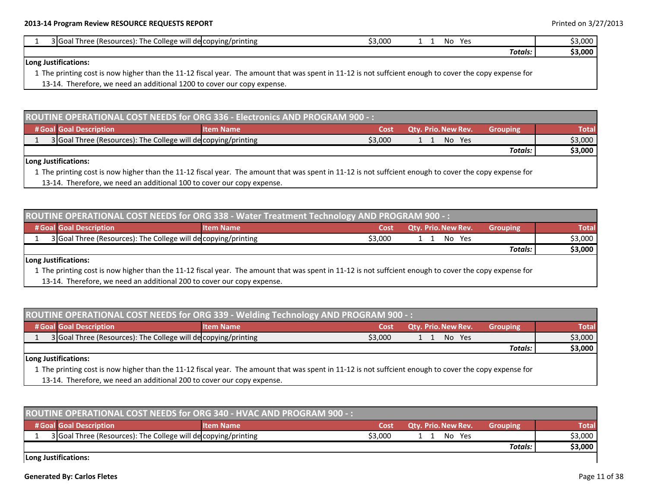| : The College will de copying/printing<br>3 Goal Three (Resources): | \$3,000       | Ye<br>No |         | \$3,000 |
|---------------------------------------------------------------------|---------------|----------|---------|---------|
|                                                                     |               |          | Totals. | \$3,000 |
| Long Justifications:<br>.<br>$\sim$ $\sim$ $\sim$ $\sim$ $\sim$     | $\sim$ $\sim$ |          |         |         |

1 The printing cost is now higher than the 11‐12 fiscal year. The amount that was spent in 11‐12 is not suffcient enough to cover the copy expense for

13‐14. Therefore, we need an additional 1200 to cover our copy expense.

| ROUTINE OPERATIONAL COST NEEDS for ORG 336 - Electronics AND PROGRAM 900 -: |                                                                |                  |       |                                  |                 |              |  |
|-----------------------------------------------------------------------------|----------------------------------------------------------------|------------------|-------|----------------------------------|-----------------|--------------|--|
|                                                                             | # Goal Goal Description                                        | <b>Item Name</b> | 'Cost | Qty. Prio. New Rev. <sup> </sup> | <b>Grouping</b> | <b>Total</b> |  |
|                                                                             | 3 Goal Three (Resources): The College will de copying/printing |                  |       | No Yes                           |                 | \$3,000      |  |
|                                                                             |                                                                |                  |       |                                  | Totals:         | \$3,000      |  |
|                                                                             | Long Justifications:                                           |                  |       |                                  |                 |              |  |

1 The printing cost is now higher than the 11‐12 fiscal year. The amount that was spent in 11‐12 is not suffcient enough to cover the copy expense for 13‐14. Therefore, we need an additional 100 to cover our copy expense.

| ROUTINE OPERATIONAL COST NEEDS for ORG 338 - Water Treatment Technology AND PROGRAM 900 -: |                                                                |                  |         |                            |                 |              |  |
|--------------------------------------------------------------------------------------------|----------------------------------------------------------------|------------------|---------|----------------------------|-----------------|--------------|--|
|                                                                                            | # Goal Goal Description                                        | <b>Item Name</b> | Cost    | <b>Qty. Prio. New Rev.</b> | <b>Grouping</b> | <b>Total</b> |  |
|                                                                                            | 3 Goal Three (Resources): The College will de copying/printing |                  | \$3,000 | No.<br>Yes                 |                 | \$3,000      |  |
|                                                                                            |                                                                |                  |         |                            | Totals:         | \$3,000      |  |
|                                                                                            | Long Justifications:                                           |                  |         |                            |                 |              |  |

1 The printing cost is now higher than the 11‐12 fiscal year. The amount that was spent in 11‐12 is not suffcient enough to cover the copy expense for

13‐14. Therefore, we need an additional 200 to cover our copy expense.

| ROUTINE OPERATIONAL COST NEEDS for ORG 339 - Welding Technology AND PROGRAM 900 -: |                                                                                                                                                                         |                  |         |                            |                 |              |  |  |
|------------------------------------------------------------------------------------|-------------------------------------------------------------------------------------------------------------------------------------------------------------------------|------------------|---------|----------------------------|-----------------|--------------|--|--|
|                                                                                    | # Goal Goal Description                                                                                                                                                 | <b>Item Name</b> | Cost    | <b>Qty. Prio. New Rev.</b> | <b>Grouping</b> | <b>Total</b> |  |  |
|                                                                                    | 3 Goal Three (Resources): The College will de copying/printing                                                                                                          |                  | \$3,000 | No Yes                     |                 | \$3,000      |  |  |
|                                                                                    |                                                                                                                                                                         |                  |         |                            | Totals:         | \$3,000      |  |  |
|                                                                                    | Long Justifications:                                                                                                                                                    |                  |         |                            |                 |              |  |  |
|                                                                                    | A The collection of the completed and anti-collection The concentration of completed and contract the completed of the complete of the complete the second contract for |                  |         |                            |                 |              |  |  |

1 The printing cost is now higher than the 11‐12 fiscal year. The amount that was spent in 11‐12 is not suffcient enough to cover the copy expense for

13‐14. Therefore, we need an additional 200 to cover our copy expense.

| ROUTINE OPERATIONAL COST NEEDS for ORG 340 - HVAC AND PROGRAM 900 -: |                  |         |                     |                 |              |  |  |
|----------------------------------------------------------------------|------------------|---------|---------------------|-----------------|--------------|--|--|
| # Goal Goal Description                                              | <b>Item Name</b> | Cost    | Qty. Prio. New Rev. | <b>Grouping</b> | <b>Total</b> |  |  |
| 3 Goal Three (Resources): The College will de copying/printing       |                  | \$3.000 | No.<br>Yes          |                 | \$3,000      |  |  |
|                                                                      |                  |         |                     | <b>Totals:</b>  | \$3,000      |  |  |
| Long Justifications:                                                 |                  |         |                     |                 |              |  |  |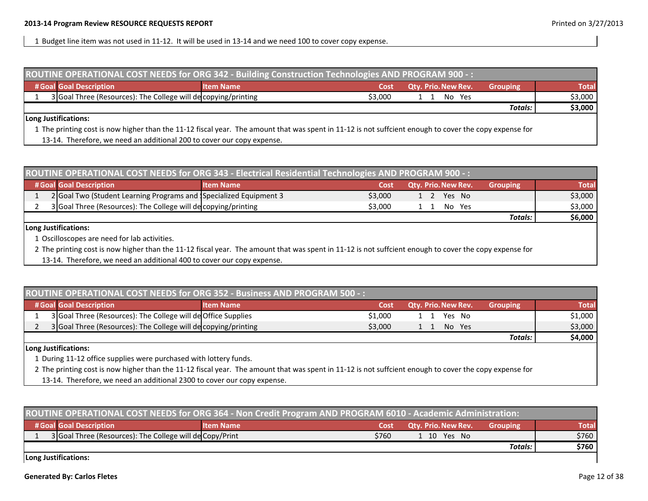1 Budget line item was not used in 11‐12. It will be used in 13‐14 and we need 100 to cover copy expense.

| ROUTINE OPERATIONAL COST NEEDS for ORG 342 - Building Construction Technologies AND PROGRAM 900 -: |                                                                                                                                                        |                  |         |                            |                  |              |  |  |
|----------------------------------------------------------------------------------------------------|--------------------------------------------------------------------------------------------------------------------------------------------------------|------------------|---------|----------------------------|------------------|--------------|--|--|
|                                                                                                    | # Goal Goal Description                                                                                                                                | <b>Item Name</b> | Cost    | <b>Qtv. Prio. New Rev.</b> | <b>Grouping</b>  | <b>Total</b> |  |  |
|                                                                                                    | 3 Goal Three (Resources): The College will de copying/printing                                                                                         |                  | \$3,000 | No Yes                     |                  | \$3,000      |  |  |
|                                                                                                    |                                                                                                                                                        |                  |         |                            | <b>Totals:</b> I | \$3,000      |  |  |
|                                                                                                    | Long Justifications:                                                                                                                                   |                  |         |                            |                  |              |  |  |
|                                                                                                    | 1 The printing cost is now higher than the 11-12 fiscal year. The amount that was spent in 11-12 is not suffcient enough to cover the copy expense for |                  |         |                            |                  |              |  |  |

13‐14. Therefore, we need an additional 200 to cover our copy expense.

| ROUTINE OPERATIONAL COST NEEDS for ORG 343 - Electrical Residential Technologies AND PROGRAM 900 -: |                                                                   |                  |         |                            |                 |         |  |
|-----------------------------------------------------------------------------------------------------|-------------------------------------------------------------------|------------------|---------|----------------------------|-----------------|---------|--|
|                                                                                                     | # Goal Goal Description                                           | <b>Item Name</b> | Cost    | <b>Qty. Prio. New Rev.</b> | <b>Grouping</b> | Total   |  |
|                                                                                                     | 2 Goal Two (Student Learning Programs and Specialized Equipment 3 |                  | \$3,000 | Yes No<br>$1\quad2$        |                 | \$3,000 |  |
|                                                                                                     | 3 Goal Three (Resources): The College will de copying/printing    |                  | \$3.000 | No Yes                     |                 | \$3,000 |  |
|                                                                                                     |                                                                   |                  |         |                            | Totals:         | \$6,000 |  |
|                                                                                                     |                                                                   |                  |         |                            |                 |         |  |

### **Long Justifications:**

1 Oscilloscopes are need for lab activities.

2 The printing cost is now higher than the 11‐12 fiscal year. The amount that was spent in 11‐12 is not suffcient enough to cover the copy expense for

13‐14. Therefore, we need an additional 400 to cover our copy expense.

| <b>ROUTINE OPERATIONAL COST NEEDS for ORG 352 - Business AND PROGRAM 500 -:</b> |                                                                |                  |         |                            |          |              |
|---------------------------------------------------------------------------------|----------------------------------------------------------------|------------------|---------|----------------------------|----------|--------------|
|                                                                                 | # Goal Goal Description                                        | <b>Item Name</b> | Cost    | <b>Qtv. Prio. New Rev.</b> | Grouping | <b>Total</b> |
|                                                                                 | 3 Goal Three (Resources): The College will de Office Supplies  |                  | \$1,000 | Yes No<br>1 1              |          | \$1,000      |
|                                                                                 | 3 Goal Three (Resources): The College will de copying/printing |                  | \$3,000 | No Yes                     |          | \$3,000      |
|                                                                                 |                                                                |                  |         |                            | Totals:  | \$4,000      |
|                                                                                 |                                                                |                  |         |                            |          |              |

### **Long Justifications:**

1 During 11‐12 office supplies were purchased with lottery funds.

2 The printing cost is now higher than the 11‐12 fiscal year. The amount that was spent in 11‐12 is not suffcient enough to cover the copy expense for

13‐14. Therefore, we need an additional 2300 to cover our copy expense.

| ROUTINE OPERATIONAL COST NEEDS for ORG 364 - Non Credit Program AND PROGRAM 6010 - Academic Administration: |                  |       |                            |                 |       |  |  |
|-------------------------------------------------------------------------------------------------------------|------------------|-------|----------------------------|-----------------|-------|--|--|
| # Goal Goal Description                                                                                     | <b>Item Name</b> | Cost  | <b>Qty. Prio. New Rev.</b> | <b>Grouping</b> | Total |  |  |
| 3 Goal Three (Resources): The College will de Copy/Print                                                    |                  | \$760 | 1 10 Yes No                |                 | \$760 |  |  |
|                                                                                                             |                  |       |                            | Totals:         | \$760 |  |  |
| Long Justifications:                                                                                        |                  |       |                            |                 |       |  |  |

**Long Justifications:**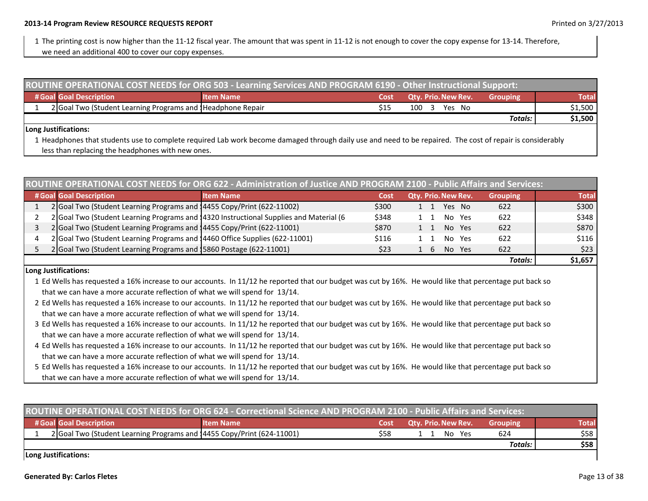1 The printing cost is now higher than the 11‐12 fiscal year. The amount that was spent in 11‐12 is not enough to cover the copy expense for 13‐14. Therefore,

we need an additional 400 to cover our copy expenses.

| ROUTINE OPERATIONAL COST NEEDS for ORG 503 - Learning Services AND PROGRAM 6190 - Other Instructional Support: |                                                            |                  |      |                            |                 |              |  |
|----------------------------------------------------------------------------------------------------------------|------------------------------------------------------------|------------------|------|----------------------------|-----------------|--------------|--|
|                                                                                                                | # Goal Goal Description                                    | <b>Item Name</b> | Cost | <b>Qty. Prio. New Rev.</b> | <b>Grouping</b> | <b>Total</b> |  |
|                                                                                                                | 2 Goal Two (Student Learning Programs and Headphone Repair |                  |      | 100 3 Yes No               |                 | $$1,500$     |  |
|                                                                                                                |                                                            |                  |      |                            | Totals:         | \$1,500      |  |
|                                                                                                                | Ll ong Lustifications:                                     |                  |      |                            |                 |              |  |

### **Long Justifications:**

1 Headphones that students use to complete required Lab work become damaged through daily use and need to be repaired. The cost of repair is considerably less than replacing the headphones with new ones.

| ROUTINE OPERATIONAL COST NEEDS for ORG 622 - Administration of Justice AND PROGRAM 2100 - Public Affairs and Services: |                                                                                        |       |                                     |                 |         |  |  |
|------------------------------------------------------------------------------------------------------------------------|----------------------------------------------------------------------------------------|-------|-------------------------------------|-----------------|---------|--|--|
| # Goal Goal Description                                                                                                | <b>Item Name</b>                                                                       | Cost  | Qty. Prio. New Rev.                 | <b>Grouping</b> | Total   |  |  |
| 2 Goal Two (Student Learning Programs and 14455 Copy/Print (622-11002)                                                 |                                                                                        | \$300 | Yes No<br>1 1                       | 622             | \$300   |  |  |
|                                                                                                                        | 2 Goal Two (Student Learning Programs and 14320 Instructional Supplies and Material (6 | \$348 | No Yes                              | 622             | \$348   |  |  |
| 2 Goal Two (Student Learning Programs and 14455 Copy/Print (622-11001)                                                 |                                                                                        | \$870 | No Yes                              | 622             | \$870   |  |  |
| 2 Goal Two (Student Learning Programs and 14460 Office Supplies (622-11001)                                            |                                                                                        | \$116 | No.<br>Yes                          | 622             | \$116   |  |  |
| 2 Goal Two (Student Learning Programs and 15860 Postage (622-11001)                                                    |                                                                                        | \$23  | <b>Yes</b><br>No.<br>6 <sup>1</sup> | 622             | \$23    |  |  |
|                                                                                                                        |                                                                                        |       |                                     | <b>Totals:</b>  | \$1,657 |  |  |

### **Long Justifications:**

- 1 Ed Wells has requested <sup>a</sup> 16% increase to our accounts. In 11/12 he reported that our budget was cut by 16%. He would like that percentage put back so that we can have <sup>a</sup> more accurate reflection of what we will spend for 13/14.
- 2 Ed Wells has requested <sup>a</sup> 16% increase to our accounts. In 11/12 he reported that our budget was cut by 16%. He would like that percentage put back so that we can have <sup>a</sup> more accurate reflection of what we will spend for 13/14.
- 3 Ed Wells has requested <sup>a</sup> 16% increase to our accounts. In 11/12 he reported that our budget was cut by 16%. He would like that percentage put back so that we can have <sup>a</sup> more accurate reflection of what we will spend for 13/14.
- 4 Ed Wells has requested <sup>a</sup> 16% increase to our accounts. In 11/12 he reported that our budget was cut by 16%. He would like that percentage put back so that we can have <sup>a</sup> more accurate reflection of what we will spend for 13/14.
- 5 Ed Wells has requested <sup>a</sup> 16% increase to our accounts. In 11/12 he reported that our budget was cut by 16%. He would like that percentage put back so that we can have <sup>a</sup> more accurate reflection of what we will spend for 13/14.

| ROUTINE OPERATIONAL COST NEEDS for ORG 624 - Correctional Science AND PROGRAM 2100 - Public Affairs and Services: |                  |      |                            |                 |              |  |  |  |
|-------------------------------------------------------------------------------------------------------------------|------------------|------|----------------------------|-----------------|--------------|--|--|--|
| # Goal Goal Description                                                                                           | <b>Item Name</b> | Cost | <b>Qty. Prio. New Rev.</b> | <b>Grouping</b> | <b>Total</b> |  |  |  |
| 2 Goal Two (Student Learning Programs and 14455 Copy/Print (624-11001)                                            |                  | \$58 | No Yes                     | 624             | \$58         |  |  |  |
|                                                                                                                   |                  |      |                            | Totals:         | \$58         |  |  |  |
| Long Justifications:                                                                                              |                  |      |                            |                 |              |  |  |  |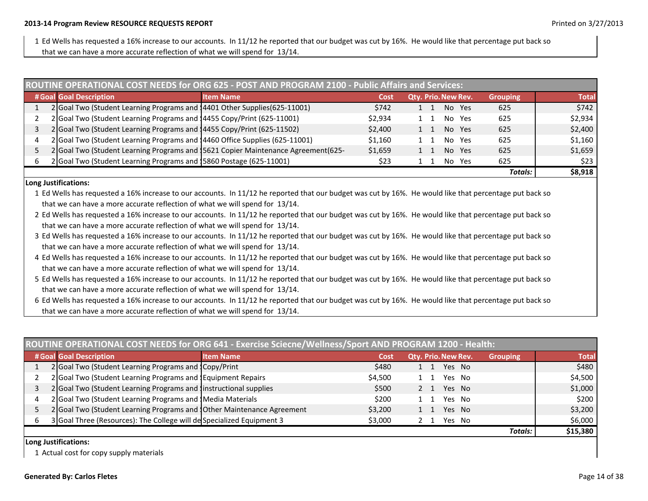1 Ed Wells has requested a 16% increase to our accounts. In 11/12 he reported that our budget was cut by 16%. He would like that percentage put back so that we can have <sup>a</sup> more accurate reflection of what we will spend for 13/14.

|   | ROUTINE OPERATIONAL COST NEEDS for ORG 625 - POST AND PROGRAM 2100 - Public Affairs and Services: |                  |         |                     |                 |         |  |  |  |
|---|---------------------------------------------------------------------------------------------------|------------------|---------|---------------------|-----------------|---------|--|--|--|
|   | # Goal Goal Description                                                                           | <b>Item Name</b> | Cost    | Qty. Prio. New Rev. | <b>Grouping</b> | Total   |  |  |  |
|   | 2 Goal Two (Student Learning Programs and 14401 Other Supplies (625-11001)                        |                  | \$742   | Yes<br>No.          | 625             | \$742   |  |  |  |
|   | 2 Goal Two (Student Learning Programs and 14455 Copy/Print (625-11001)                            |                  | \$2,934 | No.<br>Yes          | 625             | \$2,934 |  |  |  |
|   | 2 Goal Two (Student Learning Programs and 14455 Copy/Print (625-11502)                            |                  | \$2,400 | No.<br>Yes<br>1 1   | 625             | \$2,400 |  |  |  |
| 4 | 2 Goal Two (Student Learning Programs and 14460 Office Supplies (625-11001)                       |                  | \$1,160 | No.<br>Yes          | 625             | \$1,160 |  |  |  |
|   | 2 Goal Two (Student Learning Programs and 15621 Copier Maintenance Agreement (625-                |                  | \$1,659 | No.<br>Yes          | 625             | \$1,659 |  |  |  |
| b | 2 Goal Two (Student Learning Programs and 15860 Postage (625-11001)                               |                  | \$23    | No.<br>Yes          | 625             | \$23    |  |  |  |
|   |                                                                                                   |                  |         |                     | <b>Totals:</b>  | \$8,918 |  |  |  |

### **Long Justifications:**

1 Ed Wells has requested <sup>a</sup> 16% increase to our accounts. In 11/12 he reported that our budget was cut by 16%. He would like that percentage put back so that we can have <sup>a</sup> more accurate reflection of what we will spend for 13/14.

- 2 Ed Wells has requested <sup>a</sup> 16% increase to our accounts. In 11/12 he reported that our budget was cut by 16%. He would like that percentage put back so that we can have <sup>a</sup> more accurate reflection of what we will spend for 13/14.
- 3 Ed Wells has requested a 16% increase to our accounts. In 11/12 he reported that our budget was cut by 16%. He would like that percentage put back so that we can have <sup>a</sup> more accurate reflection of what we will spend for 13/14.
- 4 Ed Wells has requested <sup>a</sup> 16% increase to our accounts. In 11/12 he reported that our budget was cut by 16%. He would like that percentage put back so that we can have <sup>a</sup> more accurate reflection of what we will spend for 13/14.
- 5 Ed Wells has requested <sup>a</sup> 16% increase to our accounts. In 11/12 he reported that our budget was cut by 16%. He would like that percentage put back so that we can have <sup>a</sup> more accurate reflection of what we will spend for 13/14.
- 6 Ed Wells has requested <sup>a</sup> 16% increase to our accounts. In 11/12 he reported that our budget was cut by 16%. He would like that percentage put back so that we can have <sup>a</sup> more accurate reflection of what we will spend for 13/14.

| ROUTINE OPERATIONAL COST NEEDS for ORG 641 - Exercise Sciecne/Wellness/Sport AND PROGRAM 1200 - Health: |                  |         |  |                     |        |                 |              |
|---------------------------------------------------------------------------------------------------------|------------------|---------|--|---------------------|--------|-----------------|--------------|
| # Goal Goal Description                                                                                 | <b>Item Name</b> | Cost    |  | Qty. Prio. New Rev. |        | <b>Grouping</b> | <b>Total</b> |
| 2 Goal Two (Student Learning Programs and Copy/Print                                                    |                  | \$480   |  |                     | Yes No |                 | \$480        |
| 2 Goal Two (Student Learning Programs and JEquipment Repairs                                            |                  | \$4,500 |  |                     | Yes No |                 | \$4,500      |
| 2 Goal Two (Student Learning Programs and Instructional supplies                                        |                  | \$500   |  |                     | Yes No |                 | \$1,000      |
| 2 Goal Two (Student Learning Programs and Media Materials                                               |                  | \$200   |  | Yes                 | - No   |                 | \$200        |
| 2 Goal Two (Student Learning Programs and 10ther Maintenance Agreement                                  |                  | \$3,200 |  |                     | Yes No |                 | \$3,200      |
| 3 Goal Three (Resources): The College will de Specialized Equipment 3                                   |                  | \$3,000 |  |                     | Yes No |                 | \$6,000      |
|                                                                                                         |                  |         |  |                     |        | Totals:         | \$15,380     |

### **Long Justifications:**

1 Actual cost for copy supply materials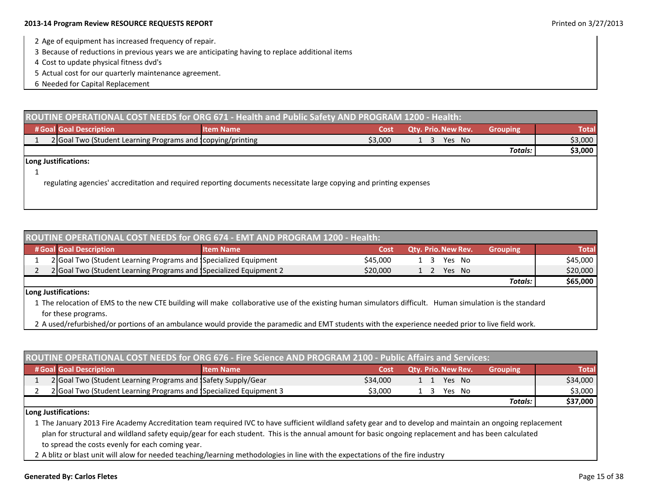### **2013‐14 Program Review RESOURCE REQUESTS REPORT** Printed on 3/27/2013

- 2 Age of equipment has increased frequency of repair.
- 3 Because of reductions in previous years we are anticipating having to replace additional items
- 4 Cost to update physical fitness dvd's
- 5 Actual cost for our quarterly maintenance agreement.
- 6 Needed for Capital Replacement

| ROUTINE OPERATIONAL COST NEEDS for ORG 671 - Health and Public Safety AND PROGRAM 1200 - Health:                    |                  |         |                            |                 |              |  |  |  |
|---------------------------------------------------------------------------------------------------------------------|------------------|---------|----------------------------|-----------------|--------------|--|--|--|
| # Goal Goal Description                                                                                             | <b>Item Name</b> | Cost    | <b>Qtv. Prio. New Rev.</b> | <b>Grouping</b> | <b>Total</b> |  |  |  |
| 2 Goal Two (Student Learning Programs and Icopying/printing                                                         |                  | \$3,000 | Yes No                     |                 | \$3,000      |  |  |  |
|                                                                                                                     |                  |         |                            | <b>Totals:</b>  | \$3,000      |  |  |  |
| Long Justifications:                                                                                                |                  |         |                            |                 |              |  |  |  |
|                                                                                                                     |                  |         |                            |                 |              |  |  |  |
| regulating agencies' accreditation and required reporting documents necessitate large copying and printing expenses |                  |         |                            |                 |              |  |  |  |
|                                                                                                                     |                  |         |                            |                 |              |  |  |  |
|                                                                                                                     |                  |         |                            |                 |              |  |  |  |

| ROUTINE OPERATIONAL COST NEEDS for ORG 674 - EMT AND PROGRAM 1200 - Health: |                                                                   |                  |          |                            |                 |          |  |  |
|-----------------------------------------------------------------------------|-------------------------------------------------------------------|------------------|----------|----------------------------|-----------------|----------|--|--|
|                                                                             | # Goal Goal Description                                           | <b>Item Name</b> | Cost     | <b>Qty. Prio. New Rev.</b> | <b>Grouping</b> | Total    |  |  |
|                                                                             | 2 Goal Two (Student Learning Programs and Specialized Equipment   |                  | \$45,000 | Yes No<br>$\frac{1}{3}$    |                 | \$45,000 |  |  |
|                                                                             | 2 Goal Two (Student Learning Programs and Specialized Equipment 2 |                  | \$20,000 | Yes No                     |                 | \$20,000 |  |  |
|                                                                             |                                                                   |                  |          |                            | Totals:         | \$65,000 |  |  |

### **Long Justifications:**

1 The relocation of EMS to the new CTE building will make collaborative use of the existing human simulators difficult. Human simulation is the standard for these programs.

2 A used/refurbished/or portions of an ambulance would provide the paramedic and EMT students with the experience needed prior to live field work.

| ROUTINE OPERATIONAL COST NEEDS for ORG 676 - Fire Science AND PROGRAM 2100 - Public Affairs and Services: |                                                                   |                  |          |                            |                 |              |  |
|-----------------------------------------------------------------------------------------------------------|-------------------------------------------------------------------|------------------|----------|----------------------------|-----------------|--------------|--|
|                                                                                                           | # Goal Goal Description                                           | <b>Item Name</b> | Cost     | <b>Qty. Prio. New Rev.</b> | <b>Grouping</b> | <b>Total</b> |  |
|                                                                                                           | 2 Goal Two (Student Learning Programs and Safety Supply/Gear      |                  | \$34,000 | Yes No<br>$1 \quad 1$      |                 | \$34,000     |  |
|                                                                                                           | 2 Goal Two (Student Learning Programs and Specialized Equipment 3 |                  | \$3,000  | Yes No<br>$\mathbf{A}$     |                 | \$3,000      |  |
|                                                                                                           |                                                                   |                  |          |                            | Totals:         | \$37,000     |  |
|                                                                                                           | $\cdot \cdot \cdot$ $\cdot \cdot$                                 |                  |          |                            |                 |              |  |

**Long Justifications:**

1 The January 2013 Fire Academy Accreditation team required IVC to have sufficient wildland safety gear and to develop and maintain an ongoing replacement plan for structural and wildland safety equip/gear for each student. This is the annual amount for basic ongoing replacement and has been calculated to spread the costs evenly for each coming year.

2 A blitz or blast unit will alow for needed teaching/learning methodologies in line with the expectations of the fire industry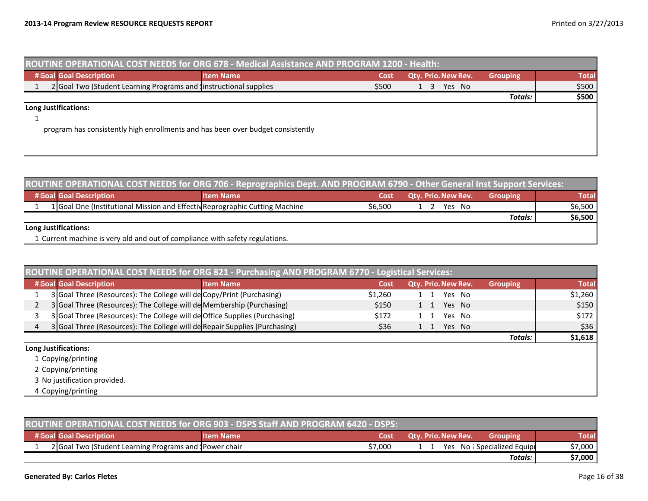| ROUTINE OPERATIONAL COST NEEDS for ORG 678 - Medical Assistance AND PROGRAM 1200 - Health: |                  |       |                     |                 |              |  |  |  |
|--------------------------------------------------------------------------------------------|------------------|-------|---------------------|-----------------|--------------|--|--|--|
| # Goal Goal Description                                                                    | <b>Item Name</b> | Cost  | Qty. Prio. New Rev. | <b>Grouping</b> | <b>Total</b> |  |  |  |
| 2 Goal Two (Student Learning Programs and Instructional supplies                           |                  | \$500 | Yes No<br>-3        |                 | \$500        |  |  |  |
|                                                                                            |                  |       |                     | Totals:         | \$500        |  |  |  |
| Long Justifications:                                                                       |                  |       |                     |                 |              |  |  |  |
|                                                                                            |                  |       |                     |                 |              |  |  |  |
| program has consistently high enrollments and has been over budget consistently            |                  |       |                     |                 |              |  |  |  |
|                                                                                            |                  |       |                     |                 |              |  |  |  |
|                                                                                            |                  |       |                     |                 |              |  |  |  |

| ROUTINE OPERATIONAL COST NEEDS for ORG 706 - Reprographics Dept. AND PROGRAM 6790 - Other General Inst Support Services: |                  |         |                            |                 |              |  |  |  |
|--------------------------------------------------------------------------------------------------------------------------|------------------|---------|----------------------------|-----------------|--------------|--|--|--|
| # Goal Goal Description                                                                                                  | <b>Item Name</b> | Cost    | <b>Qtv. Prio. New Rev.</b> | <b>Grouping</b> | <b>Total</b> |  |  |  |
| 1 Goal One (Institutional Mission and Effectiv Reprographic Cutting Machine                                              |                  | \$6.500 | Yes No                     |                 | \$6,500      |  |  |  |
|                                                                                                                          |                  |         |                            | <b>Totals:</b>  | \$6,500      |  |  |  |
| Long Justifications:                                                                                                     |                  |         |                            |                 |              |  |  |  |
| 1 Current machine is very old and out of compliance with safety regulations.                                             |                  |         |                            |                 |              |  |  |  |

| ROUTINE OPERATIONAL COST NEEDS for ORG 821 - Purchasing AND PROGRAM 6770 - Logistical Services: |                  |         |                     |          |              |  |  |
|-------------------------------------------------------------------------------------------------|------------------|---------|---------------------|----------|--------------|--|--|
| # Goal Goal Description                                                                         | <b>Item Name</b> | Cost    | Qty. Prio. New Rev. | Grouping | <b>Total</b> |  |  |
| 3 Goal Three (Resources): The College will de Copy/Print (Purchasing)                           |                  | \$1,260 | Yes No              |          | \$1,260      |  |  |
| 3 Goal Three (Resources): The College will de Membership (Purchasing)                           |                  | \$150   | Yes No<br>1 1       |          | \$150        |  |  |
| 3 Goal Three (Resources): The College will de Office Supplies (Purchasing)                      |                  | \$172   | Yes No              |          | \$172        |  |  |
| 3 Goal Three (Resources): The College will de Repair Supplies (Purchasing)                      |                  | \$36    | Yes No<br>1 1       |          | \$36         |  |  |
|                                                                                                 |                  |         |                     | Totals:  | \$1,618      |  |  |
| Long Justifications:                                                                            |                  |         |                     |          |              |  |  |
| 1 Copying/printing                                                                              |                  |         |                     |          |              |  |  |
| 2 Copying/printing                                                                              |                  |         |                     |          |              |  |  |
| 3 No justification provided.                                                                    |                  |         |                     |          |              |  |  |
| 4 Copying/printing                                                                              |                  |         |                     |          |              |  |  |

| ROUTINE OPERATIONAL COST NEEDS for ORG 903 - DSPS Staff AND PROGRAM 6420 - DSPS: |                                                        |                  |         |                                               |              |  |  |
|----------------------------------------------------------------------------------|--------------------------------------------------------|------------------|---------|-----------------------------------------------|--------------|--|--|
|                                                                                  | # Goal Goal Description                                | <b>Item Name</b> | Cost    | <b>Qty. Prio. New Rev.</b><br><b>Grouping</b> | <b>Total</b> |  |  |
|                                                                                  | 2 Goal Two (Student Learning Programs and JPower chair |                  | \$7.000 | Yes No Specialized Equipt                     | \$7,000      |  |  |
|                                                                                  |                                                        |                  |         | Totals:                                       | \$7,000      |  |  |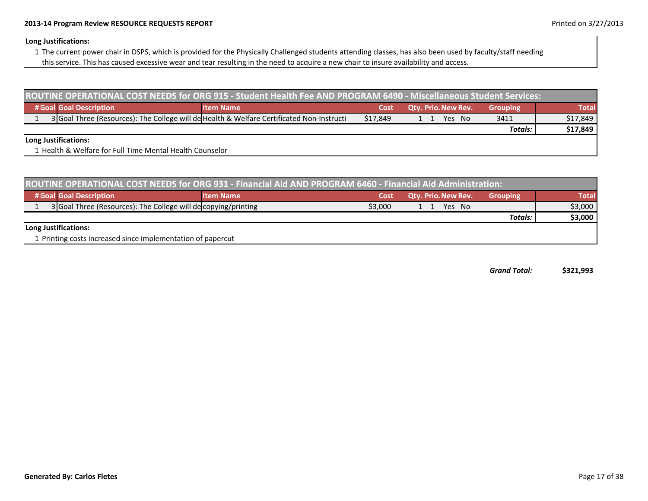### **2013‐14 Program Review RESOURCE REQUESTS REPORT** Printed on 3/27/2013

### **Long Justifications:**

- 1 The current power chair in DSPS, which is provided for the Physically Challenged students attending classes, has also been used by faculty/staff needing
- this service. This has caused excessive wear and tear resulting in the need to acquire <sup>a</sup> new chair to insure availability and access.

| ROUTINE OPERATIONAL COST NEEDS for ORG 915 - Student Health Fee AND PROGRAM 6490 - Miscellaneous Student Services: |                                                                                           |          |                            |                 |              |  |  |  |
|--------------------------------------------------------------------------------------------------------------------|-------------------------------------------------------------------------------------------|----------|----------------------------|-----------------|--------------|--|--|--|
| # Goal Goal Description                                                                                            | <b>Item Name</b>                                                                          | Cost     | <b>Qtv. Prio. New Rev.</b> | <b>Grouping</b> | <b>Total</b> |  |  |  |
|                                                                                                                    | 3 Goal Three (Resources): The College will de Health & Welfare Certificated Non-Instructi | \$17.849 | Yes No                     | 3411            | \$17,849     |  |  |  |
|                                                                                                                    |                                                                                           |          |                            | Totals:         | \$17,849     |  |  |  |
| Long Justifications:                                                                                               |                                                                                           |          |                            |                 |              |  |  |  |
| 1 Health & Welfare for Full Time Mental Health Counselor                                                           |                                                                                           |          |                            |                 |              |  |  |  |

| ROUTINE OPERATIONAL COST NEEDS for ORG 931 - Financial Aid AND PROGRAM 6460 - Financial Aid Administration: |                                                                |                  |         |                            |                 |              |  |  |
|-------------------------------------------------------------------------------------------------------------|----------------------------------------------------------------|------------------|---------|----------------------------|-----------------|--------------|--|--|
|                                                                                                             | # Goal Goal Description                                        | <b>Item Name</b> | Cost    | <b>Qty. Prio. New Rev.</b> | <b>Grouping</b> | <b>Total</b> |  |  |
|                                                                                                             | 3 Goal Three (Resources): The College will de copying/printing |                  | \$3,000 | Yes No                     |                 | \$3,000      |  |  |
|                                                                                                             |                                                                |                  |         |                            | <b>Totals:</b>  | \$3,000      |  |  |
|                                                                                                             | Long Justifications:                                           |                  |         |                            |                 |              |  |  |
|                                                                                                             | 1 Printing costs increased since implementation of papercut    |                  |         |                            |                 |              |  |  |

*GrandTotal:* **\$321,993**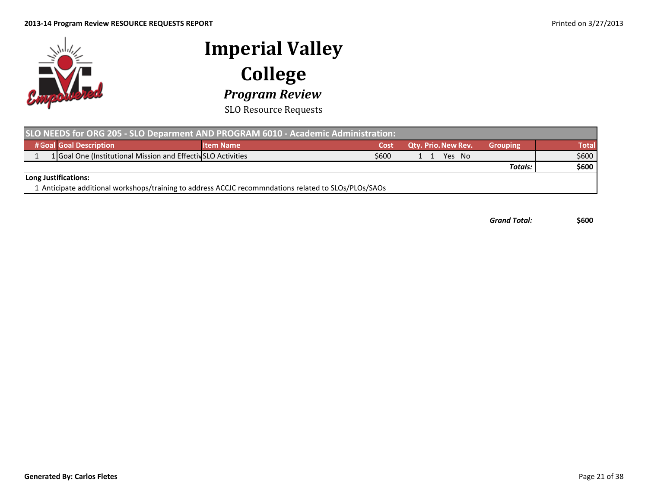

SLO Resource Requests

| SLO NEEDS for ORG 205 - SLO Deparment AND PROGRAM 6010 - Academic Administration:                    |                  |       |                            |                 |       |  |  |  |
|------------------------------------------------------------------------------------------------------|------------------|-------|----------------------------|-----------------|-------|--|--|--|
| # Goal Goal Description                                                                              | <b>Item Name</b> | Cost  | <b>Qty. Prio. New Rev.</b> | <b>Grouping</b> | Total |  |  |  |
| 1 Goal One (Institutional Mission and Effectiv SLO Activities                                        |                  | \$600 | Yes No                     |                 | \$600 |  |  |  |
|                                                                                                      |                  |       |                            | Totals:         | \$600 |  |  |  |
| Long Justifications:                                                                                 |                  |       |                            |                 |       |  |  |  |
| 1 Anticipate additional workshops/training to address ACCJC recommndations related to SLOs/PLOs/SAOs |                  |       |                            |                 |       |  |  |  |

*Grand Total:* **\$600**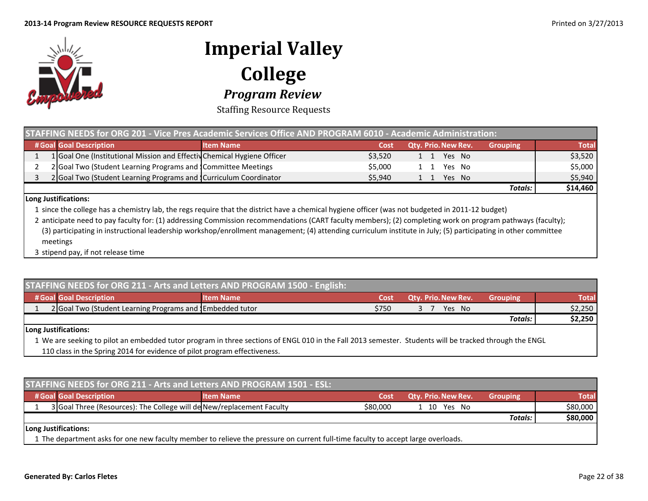

Staffing Resource Requests

| STAFFING NEEDS for ORG 201 - Vice Pres Academic Services Office AND PROGRAM 6010 - Academic Administration: |                                                                         |                  |         |                            |                 |              |  |  |
|-------------------------------------------------------------------------------------------------------------|-------------------------------------------------------------------------|------------------|---------|----------------------------|-----------------|--------------|--|--|
|                                                                                                             | # Goal Goal Description                                                 | <b>Item Name</b> | Cost    | <b>Qty. Prio. New Rev.</b> | <b>Grouping</b> | <b>Total</b> |  |  |
|                                                                                                             | 1 Goal One (Institutional Mission and Effectiv Chemical Hygiene Officer |                  | \$3.520 | Yes No<br>1 1              |                 | \$3,520      |  |  |
|                                                                                                             | 2 Goal Two (Student Learning Programs and Committee Meetings            |                  | \$5.000 | Yes No                     |                 | \$5,000      |  |  |
|                                                                                                             | 2 Goal Two (Student Learning Programs and Curriculum Coordinator        |                  | \$5.940 | Yes No                     |                 | \$5,940      |  |  |
|                                                                                                             |                                                                         |                  |         |                            | Totals:         | \$14,460     |  |  |

**Long Justifications:**

1 since the college has <sup>a</sup> chemistry lab, the regs require that the district have <sup>a</sup> chemical hygiene officer (was not budgeted in 2011‐12 budget)

2 anticipate need to pay faculty for: (1) addressing Commission recommendations (CART faculty members); (2) completing work on program pathways (faculty); (3) participating in instructional leadership workshop/enrollment management; (4) attending curriculum institute in July; (5) participating in other committee meetings

3 stipend pay, if not release time

| STAFFING NEEDS for ORG 211 - Arts and Letters AND PROGRAM 1500 - English:                                                                                                   |                  |       |                            |                 |              |  |  |  |
|-----------------------------------------------------------------------------------------------------------------------------------------------------------------------------|------------------|-------|----------------------------|-----------------|--------------|--|--|--|
| # Goal Goal Description                                                                                                                                                     | <b>Item Name</b> | Cost  | <b>Qty. Prio. New Rev.</b> | <b>Grouping</b> | <b>Total</b> |  |  |  |
| 2 Goal Two (Student Learning Programs and Inbedded tutor                                                                                                                    |                  | \$750 | Yes No                     |                 | \$2,250      |  |  |  |
|                                                                                                                                                                             |                  |       |                            | Totals:         | \$2,250      |  |  |  |
| Long Justifications:<br>A Me and contracts with an exploded tube nonconcin thus continue of FNOLOAD in the Fell 2042 conception. Chudenter will be tradual through the FNOL |                  |       |                            |                 |              |  |  |  |

1 We are seeking to pilot an embedded tutor program in three sections of ENGL 010 in the Fall 2013 semester. Students will be tracked through the ENGL 110 class in the Spring 2014 for evidence of pilot program effectiveness.

| <b>STAFFING NEEDS for ORG 211 - Arts and Letters AND PROGRAM 1501 - ESL:</b>                                                     |                  |          |                     |                 |              |  |  |  |  |
|----------------------------------------------------------------------------------------------------------------------------------|------------------|----------|---------------------|-----------------|--------------|--|--|--|--|
| # Goal Goal Description                                                                                                          | <b>Item Name</b> | Cost     | Qty. Prio. New Rev. | <b>Grouping</b> | <b>Total</b> |  |  |  |  |
| 3 Goal Three (Resources): The College will de New/replacement Faculty                                                            |                  | \$80.000 | 1 10 Yes No         |                 | \$80,000     |  |  |  |  |
|                                                                                                                                  |                  |          |                     | Totals:         | \$80,000     |  |  |  |  |
| Long Justifications:                                                                                                             |                  |          |                     |                 |              |  |  |  |  |
| 1 The department asks for one new faculty member to relieve the pressure on current full-time faculty to accept large overloads. |                  |          |                     |                 |              |  |  |  |  |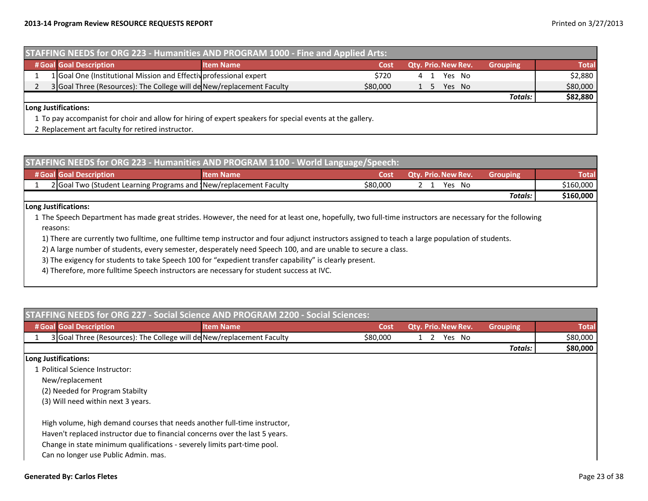| <b>STAFFING NEEDS for ORG 223 - Humanities AND PROGRAM 1000 - Fine and Applied Arts:</b> |                                                                                                           |                  |          |     |                            |                 |              |  |
|------------------------------------------------------------------------------------------|-----------------------------------------------------------------------------------------------------------|------------------|----------|-----|----------------------------|-----------------|--------------|--|
|                                                                                          | # Goal Goal Description                                                                                   | <b>Item Name</b> | Cost     |     | <b>Qtv. Prio. New Rev.</b> | <b>Grouping</b> | <b>Total</b> |  |
|                                                                                          | 1 Goal One (Institutional Mission and Effectiv professional expert                                        |                  | \$720    | 4 1 | Yes No                     |                 | \$2,880      |  |
|                                                                                          | 3 Goal Three (Resources): The College will de New/replacement Faculty                                     |                  | \$80,000 | 1 5 | Yes No                     |                 | \$80,000     |  |
|                                                                                          |                                                                                                           |                  |          |     |                            | Totals:         | \$82,880     |  |
|                                                                                          | Long Justifications:                                                                                      |                  |          |     |                            |                 |              |  |
|                                                                                          | 1 To pay accompanist for choir and allow for hiring of expert speakers for special events at the gallery. |                  |          |     |                            |                 |              |  |

2 Replacement art faculty for retired instructor.

| STAFFING NEEDS for ORG 223 - Humanities AND PROGRAM 1100 - World Language/Speech: |                  |          |                            |                 |           |  |  |  |  |
|-----------------------------------------------------------------------------------|------------------|----------|----------------------------|-----------------|-----------|--|--|--|--|
| # Goal Goal Description                                                           | <b>Item Name</b> | Cost     | <b>Qty. Prio. New Rev.</b> | <b>Grouping</b> | Total     |  |  |  |  |
| 2 Goal Two (Student Learning Programs and New/replacement Faculty                 |                  | \$80,000 | Yes No                     |                 | \$160,000 |  |  |  |  |
|                                                                                   |                  |          |                            | Totals:         | \$160,000 |  |  |  |  |

### **Long Justifications:**

1 The Speech Department has made great strides. However, the need for at least one, hopefully, two full‐time instructors are necessary for the following reasons:

1) There are currently two fulltime, one fulltime temp instructor and four adjunct instructors assigned to teach <sup>a</sup> large population of students.

2) A large number of students, every semester, desperately need Speech 100, and are unable to secure <sup>a</sup> class.

3) The exigency for students to take Speech 100 for "expedient transfer capability" is clearly present.

4) Therefore, more fulltime Speech instructors are necessary for student success at IVC.

|                                                                                                                  | <b>STAFFING NEEDS for ORG 227 - Social Science AND PROGRAM 2200 - Social Sciences:</b>                                                                    |          |                     |                 |              |
|------------------------------------------------------------------------------------------------------------------|-----------------------------------------------------------------------------------------------------------------------------------------------------------|----------|---------------------|-----------------|--------------|
| # Goal Goal Description                                                                                          | <b>Item Name</b>                                                                                                                                          | Cost     | Qty. Prio. New Rev. | <b>Grouping</b> | <b>Total</b> |
|                                                                                                                  | 3 Goal Three (Resources): The College will de New/replacement Faculty                                                                                     | \$80,000 | Yes No              |                 | \$80,000     |
|                                                                                                                  |                                                                                                                                                           |          |                     | Totals:         | \$80,000     |
| Long Justifications:                                                                                             |                                                                                                                                                           |          |                     |                 |              |
| 1 Political Science Instructor:                                                                                  |                                                                                                                                                           |          |                     |                 |              |
| New/replacement                                                                                                  |                                                                                                                                                           |          |                     |                 |              |
| (2) Needed for Program Stabilty                                                                                  |                                                                                                                                                           |          |                     |                 |              |
| (3) Will need within next 3 years.                                                                               |                                                                                                                                                           |          |                     |                 |              |
| Change in state minimum qualifications - severely limits part-time pool.<br>Can no longer use Public Admin. mas. | High volume, high demand courses that needs another full-time instructor,<br>Haven't replaced instructor due to financial concerns over the last 5 years. |          |                     |                 |              |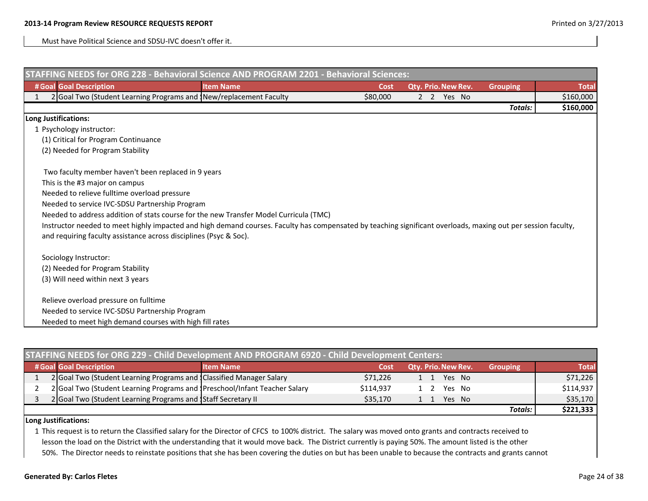Must have Political Science and SDSU‐IVC doesn't offer it.

| STAFFING NEEDS for ORG 228 - Behavioral Science AND PROGRAM 2201 - Behavioral Sciences:                                                                       |                  |          |                     |            |                 |              |
|---------------------------------------------------------------------------------------------------------------------------------------------------------------|------------------|----------|---------------------|------------|-----------------|--------------|
| # Goal Goal Description                                                                                                                                       | <b>Item Name</b> | Cost     | Qty. Prio. New Rev. |            | <b>Grouping</b> | <b>Total</b> |
| 2 Goal Two (Student Learning Programs and INew/replacement Faculty                                                                                            |                  | \$80,000 |                     | 2 2 Yes No |                 | \$160,000    |
|                                                                                                                                                               |                  |          |                     |            | Totals:         | \$160,000    |
| Long Justifications:                                                                                                                                          |                  |          |                     |            |                 |              |
| 1 Psychology instructor:                                                                                                                                      |                  |          |                     |            |                 |              |
| (1) Critical for Program Continuance                                                                                                                          |                  |          |                     |            |                 |              |
| (2) Needed for Program Stability                                                                                                                              |                  |          |                     |            |                 |              |
| Two faculty member haven't been replaced in 9 years                                                                                                           |                  |          |                     |            |                 |              |
| This is the #3 major on campus                                                                                                                                |                  |          |                     |            |                 |              |
| Needed to relieve fulltime overload pressure                                                                                                                  |                  |          |                     |            |                 |              |
| Needed to service IVC-SDSU Partnership Program                                                                                                                |                  |          |                     |            |                 |              |
| Needed to address addition of stats course for the new Transfer Model Curricula (TMC)                                                                         |                  |          |                     |            |                 |              |
| Instructor needed to meet highly impacted and high demand courses. Faculty has compensated by teaching significant overloads, maxing out per session faculty, |                  |          |                     |            |                 |              |
| and requiring faculty assistance across disciplines (Psyc & Soc).                                                                                             |                  |          |                     |            |                 |              |
| Sociology Instructor:                                                                                                                                         |                  |          |                     |            |                 |              |
| (2) Needed for Program Stability                                                                                                                              |                  |          |                     |            |                 |              |
| (3) Will need within next 3 years                                                                                                                             |                  |          |                     |            |                 |              |
| Relieve overload pressure on fulltime                                                                                                                         |                  |          |                     |            |                 |              |
| Needed to service IVC-SDSU Partnership Program                                                                                                                |                  |          |                     |            |                 |              |
| Needed to meet high demand courses with high fill rates                                                                                                       |                  |          |                     |            |                 |              |

| STAFFING NEEDS for ORG 229 - Child Development AND PROGRAM 6920 - Child Development Centers: |                                                                            |                  |           |                     |                 |              |  |  |
|----------------------------------------------------------------------------------------------|----------------------------------------------------------------------------|------------------|-----------|---------------------|-----------------|--------------|--|--|
|                                                                                              | # Goal Goal Description                                                    | <b>Item Name</b> | Cost      | Qty. Prio. New Rev. | <b>Grouping</b> | <b>Total</b> |  |  |
|                                                                                              | 2 Goal Two (Student Learning Programs and Classified Manager Salary        |                  | \$71,226  | Yes No<br>1 1       |                 | \$71,226     |  |  |
|                                                                                              | 2 Goal Two (Student Learning Programs and IPreschool/Infant Teacher Salary |                  | \$114.937 | Yes No              |                 | \$114,937    |  |  |
|                                                                                              | 2 Goal Two (Student Learning Programs and Staff Secretary II               |                  | \$35,170  | Yes No              |                 | \$35,170     |  |  |
|                                                                                              |                                                                            |                  |           |                     | <b>Totals:</b>  | \$221,333    |  |  |

### **Long Justifications:**

1 This request is to return the Classified salary for the Director of CFCS to 100% district. The salary was moved onto grants and contracts received to lesson the load on the District with the understanding that it would move back. The District currently is paying 50%. The amount listed is the other 50%. The Director needs to reinstate positions that she has been covering the duties on but has been unable to because the contracts and grants cannot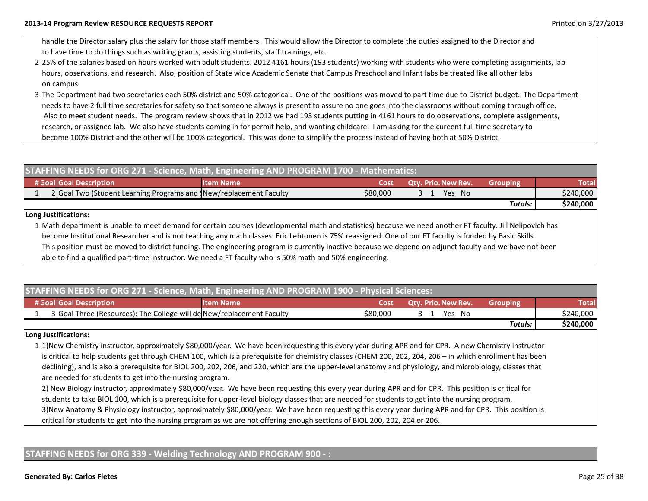handle the Director salary plus the salary for those staff members. This would allow the Director to complete the duties assigned to the Director and to have time to do things such as writing grants, assisting students, staff trainings, etc.

- 225% of the salaries based on hours worked with adult students. 2012 4161 hours (193 students) working with students who were completing assignments, lab hours, observations, and research. Also, position of State wide Academic Senate that Campus Preschool and Infant labs be treated like all other labs on campus.
- 3 The Department had two secretaries each 50% district and 50% categorical. One of the positions was moved to part time due to District budget. The Department needs to have 2 full time secretaries for safety so that someone always is present to assure no one goes into the classrooms without coming through office. Also to meet student needs. The program review shows that in 2012 we had 193 students putting in 4161 hours to do observations, complete assignments, research, or assigned lab. We also have students coming in for permit help, and wanting childcare. I am asking for the cureent full time secretary to become 100% District and the other will be 100% categorical. This was done to simplify the process instead of having both at 50% District.

| STAFFING NEEDS for ORG 271 - Science, Math, Engineering AND PROGRAM 1700 - Mathematics: |                                                                   |                  |          |                            |          |           |  |  |
|-----------------------------------------------------------------------------------------|-------------------------------------------------------------------|------------------|----------|----------------------------|----------|-----------|--|--|
|                                                                                         | # Goal Goal Description                                           | <b>Item Name</b> | Cost     | <b>Qty. Prio. New Rev.</b> | Grouping | Total     |  |  |
|                                                                                         | 2 Goal Two (Student Learning Programs and New/replacement Faculty |                  | \$80,000 | Yes No                     |          | \$240,000 |  |  |
|                                                                                         |                                                                   |                  |          |                            | Totals:  | \$240,000 |  |  |
|                                                                                         |                                                                   |                  |          |                            |          |           |  |  |

### **Long Justifications:**

1 Math department is unable to meet demand for certain courses (developmental math and statistics) because we need another FT faculty. Jill Nelipovich has become Institutional Researcher and is not teaching any math classes. Eric Lehtonen is 75% reassigned. One of our FT faculty is funded by Basic Skills. This position must be moved to district funding. The engineering program is currently inactive because we depend on adjunct faculty and we have not been able to find <sup>a</sup> qualified part‐time instructor. We need <sup>a</sup> FT faculty who is 50% math and 50% engineering.

|         | <b>STAFFING NEEDS for ORG 271 - Science, Math, Engineering AND PROGRAM 1900 - Physical Sciences:</b> |                  |          |                            |                 |              |  |  |  |
|---------|------------------------------------------------------------------------------------------------------|------------------|----------|----------------------------|-----------------|--------------|--|--|--|
|         | # Goal Goal Description                                                                              | <b>Item Name</b> | Cost     | <b>Qty. Prio. New Rev.</b> | <b>Grouping</b> | <b>Total</b> |  |  |  |
|         | 3 Goal Three (Resources): The College will de New/replacement Faculty                                |                  | \$80,000 | Yes No                     |                 | \$240,000    |  |  |  |
| Totals: |                                                                                                      |                  |          |                            |                 |              |  |  |  |

### **Long Justifications:**

1 1)New Chemistry instructor, approximately \$80,000/year. We have been requesting this every year during APR and for CPR. A new Chemistry instructor is critical to help students get through CHEM 100, which is <sup>a</sup> prerequisite for chemistry classes (CHEM 200, 202, 204, 206 – in which enrollment has been declining), and is also a prerequisite for BIOL 200, 202, 206, and 220, which are the upper-level anatomy and physiology, and microbiology, classes that are needed for students to get into the nursing program.

2) New Biology instructor, approximately \$80,000/year. We have been requesting this every year during APR and for CPR. This position is critical for students to take BIOL 100, which is <sup>a</sup> prerequisite for upper‐level biology classes that are needed for students to get into the nursing program. 3)New Anatomy & Physiology instructor, approximately \$80,000/year. We have been requesting this every year during APR and for CPR. This position is critical for students to get into the nursing program as we are not offering enough sections of BIOL 200, 202, 204 or 206.

### **STAFFING NEEDS for ORG 339 ‐ Welding Technology AND PROGRAM 900 ‐ :**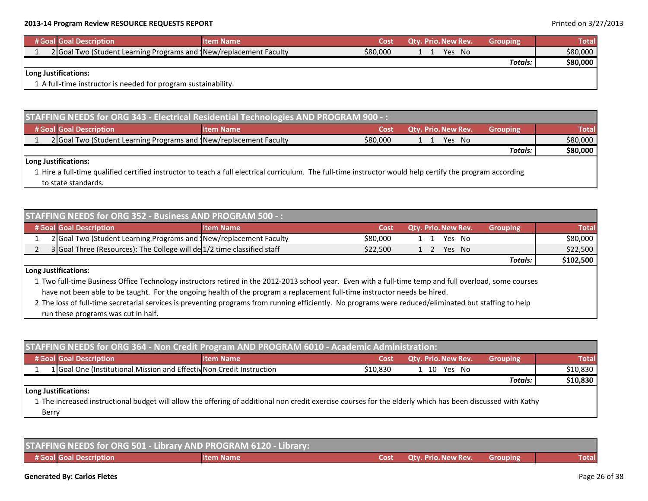|                      | # Goal Goal Description                                           | <b>Item Name</b> | Cost     | <b>Qty. Prio. New Rev.</b> | <b>Grouping</b> | <b>Total</b> |
|----------------------|-------------------------------------------------------------------|------------------|----------|----------------------------|-----------------|--------------|
|                      | 2 Goal Two (Student Learning Programs and New/replacement Faculty |                  | \$80,000 | Yes No                     |                 | \$80,000     |
|                      |                                                                   |                  |          |                            | Totals:         | \$80,000     |
| Long Justifications: |                                                                   |                  |          |                            |                 |              |
|                      | 1 A full-time instructor is needed for program sustainability.    |                  |          |                            |                 |              |

| STAFFING NEEDS for ORG 343 - Electrical Residential Technologies AND PROGRAM 900 -: |                                                                                                                                                            |                  |          |     |                            |                 |              |  |  |  |
|-------------------------------------------------------------------------------------|------------------------------------------------------------------------------------------------------------------------------------------------------------|------------------|----------|-----|----------------------------|-----------------|--------------|--|--|--|
|                                                                                     | # Goal Goal Description                                                                                                                                    | <b>Item Name</b> | 'Cost    |     | <b>Qtv. Prio. New Rev.</b> | <b>Grouping</b> | <b>Total</b> |  |  |  |
|                                                                                     | 2 Goal Two (Student Learning Programs and New/replacement Faculty                                                                                          |                  | \$80,000 | 1 1 | Yes No                     |                 | \$80,000     |  |  |  |
|                                                                                     |                                                                                                                                                            |                  |          |     |                            | <b>Totals:</b>  | \$80,000     |  |  |  |
|                                                                                     | Long Justifications:                                                                                                                                       |                  |          |     |                            |                 |              |  |  |  |
|                                                                                     | 1 Hire a full-time qualified certified instructor to teach a full electrical curriculum. The full-time instructor would help certify the program according |                  |          |     |                            |                 |              |  |  |  |

to state standards.

| <b>STAFFING NEEDS for ORG 352 - Business AND PROGRAM 500 -:</b> |                                                                         |                  |          |  |                            |                 |              |  |
|-----------------------------------------------------------------|-------------------------------------------------------------------------|------------------|----------|--|----------------------------|-----------------|--------------|--|
|                                                                 | # Goal Goal Description                                                 | <b>Item Name</b> | Cost     |  | <b>Qty. Prio. New Rev.</b> | <b>Grouping</b> | <b>Total</b> |  |
|                                                                 | 2 Goal Two (Student Learning Programs and New/replacement Faculty       |                  | \$80,000 |  | Yes No                     |                 | \$80,000     |  |
|                                                                 | 3 Goal Three (Resources): The College will de 1/2 time classified staff |                  | \$22,500 |  | Yes No                     |                 | \$22,500     |  |
|                                                                 |                                                                         |                  |          |  |                            | <b>Totals:</b>  | \$102,500    |  |

### **Long Justifications:**

1 Two full‐time Business Office Technology instructors retired in the 2012‐2013 school year. Even with <sup>a</sup> full‐time temp and full overload, some courses have not been able to be taught. For the ongoing health of the program <sup>a</sup> replacement full‐time instructor needs be hired.

2 The loss of full‐time secretarial services is preventing programs from running efficiently. No programs were reduced/eliminated but staffing to help run these programs was cut in half.

| STAFFING NEEDS for ORG 364 - Non Credit Program AND PROGRAM 6010 - Academic Administration: |                  |          |                            |                 |              |  |  |  |  |
|---------------------------------------------------------------------------------------------|------------------|----------|----------------------------|-----------------|--------------|--|--|--|--|
| # Goal Goal Description                                                                     | <b>Item Name</b> | Cost     | <b>Qty. Prio. New Rev.</b> | <b>Grouping</b> | <b>Total</b> |  |  |  |  |
| 1 Goal One (Institutional Mission and Effectiv Non Credit Instruction                       |                  | \$10.830 | 1 10 Yes No                |                 | \$10,830     |  |  |  |  |
|                                                                                             |                  |          |                            | Totals:         | \$10,830     |  |  |  |  |
| Long Justifications:                                                                        |                  |          |                            |                 |              |  |  |  |  |

1 The increased instructional budget will allow the offering of additional non credit exercise courses for the elderly which has been discussed with Kathy Berry

| STAFFING NEEDS for ORG 501 - Library AND PROGRAM 6120 - Library: |                  |  |                          |           |              |  |  |  |  |
|------------------------------------------------------------------|------------------|--|--------------------------|-----------|--------------|--|--|--|--|
| # Goal Goal Description                                          | <b>Item Name</b> |  | Cost Qtv. Prio. New Rev. | Grouping' | <b>Total</b> |  |  |  |  |

### **Generated By: Carlos Fletes** Page 26 of 38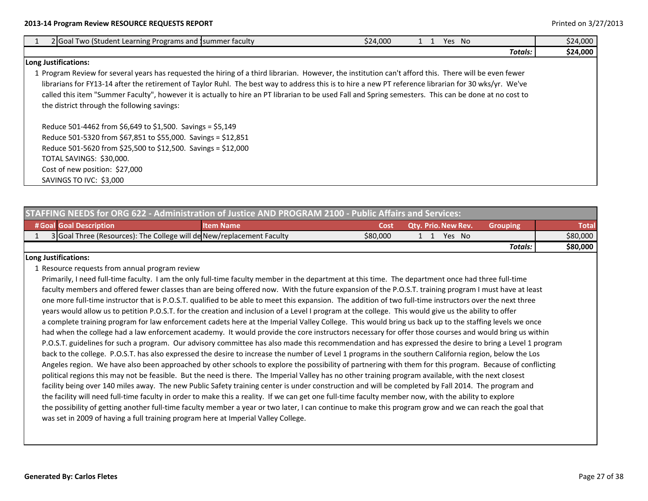| 2 Goal Two (Student Learning Programs and Summer faculty                                                                                               | \$24,000 |  | Yes No |         | \$24,000 |
|--------------------------------------------------------------------------------------------------------------------------------------------------------|----------|--|--------|---------|----------|
|                                                                                                                                                        |          |  |        | Totals: | \$24,000 |
| <b>Long Justifications:</b>                                                                                                                            |          |  |        |         |          |
| 1 Program Review for several years has requested the hiring of a third librarian. However, the institution can't afford this. There will be even fewer |          |  |        |         |          |
| librarians for FY13-14 after the retirement of Taylor Ruhl. The best way to address this is to hire a new PT reference librarian for 30 wks/yr. We've  |          |  |        |         |          |
| called this item "Summer Faculty", however it is actually to hire an PT librarian to be used Fall and Spring semesters. This can be done at no cost to |          |  |        |         |          |
| the district through the following savings:                                                                                                            |          |  |        |         |          |
| Reduce 501-4462 from \$6,649 to \$1,500. Savings = \$5,149                                                                                             |          |  |        |         |          |
| Reduce 501-5320 from \$67,851 to \$55,000. Savings = \$12,851                                                                                          |          |  |        |         |          |
| Reduce 501-5620 from \$25,500 to \$12,500. Savings = \$12,000                                                                                          |          |  |        |         |          |
| TOTAL SAVINGS: \$30,000.                                                                                                                               |          |  |        |         |          |
| Cost of new position: \$27,000                                                                                                                         |          |  |        |         |          |
| SAVINGS TO IVC: \$3,000                                                                                                                                |          |  |        |         |          |

| STAFFING NEEDS for ORG 622 - Administration of Justice AND PROGRAM 2100 - Public Affairs and Services: |                                                                       |                  |          |  |                            |                 |          |  |  |
|--------------------------------------------------------------------------------------------------------|-----------------------------------------------------------------------|------------------|----------|--|----------------------------|-----------------|----------|--|--|
|                                                                                                        |                                                                       |                  |          |  |                            |                 |          |  |  |
|                                                                                                        | # Goal Goal Description                                               | <b>Item Name</b> | Cost     |  | <b>Qty. Prio. New Rev.</b> | <b>Grouping</b> | Total    |  |  |
|                                                                                                        | 3 Goal Three (Resources): The College will de New/replacement Faculty |                  | \$80,000 |  | Yes No                     |                 | \$80,000 |  |  |
|                                                                                                        |                                                                       |                  |          |  |                            | <b>Totals:</b>  | \$80,000 |  |  |
|                                                                                                        | Long Justifications:                                                  |                  |          |  |                            |                 |          |  |  |

1 Resource requests from annual program review

Primarily, I need full‐time faculty. I am the only full‐time faculty member in the department at this time. The department once had three full‐time faculty members and offered fewer classes than are being offered now. With the future expansion of the P.O.S.T. training program I must have at least one more full‐time instructor that is P.O.S.T. qualified to be able to meet this expansion. The addition of two full‐time instructors over the next three years would allow us to petition P.O.S.T. for the creation and inclusion of <sup>a</sup> Level I program at the college. This would give us the ability to offer a complete training program for law enforcement cadets here at the Imperial Valley College. This would bring us back up to the staffing levels we once had when the college had <sup>a</sup> law enforcement academy. It would provide the core instructors necessary for offer those courses and would bring us within P.O.S.T. guidelines for such <sup>a</sup> program. Our advisory committee has also made this recommendation and has expressed the desire to bring <sup>a</sup> Level 1 program back to the college. P.O.S.T. has also expressed the desire to increase the number of Level 1 programs in the southern California region, below the Los Angeles region. We have also been approached by other schools to explore the possibility of partnering with them for this program. Because of conflicting political regions this may not be feasible. But the need is there. The Imperial Valley has no other training program available, with the next closest facility being over 140 miles away. The new Public Safety training center is under construction and will be completed by Fall 2014. The program and the facility will need full‐time faculty in order to make this <sup>a</sup> reality. If we can get one full‐time faculty member now, with the ability to explore the possibility of getting another full‐time faculty member <sup>a</sup> year or two later, I can continue to make this program grow and we can reach the goal that was set in 2009 of having <sup>a</sup> full training program here at Imperial Valley College.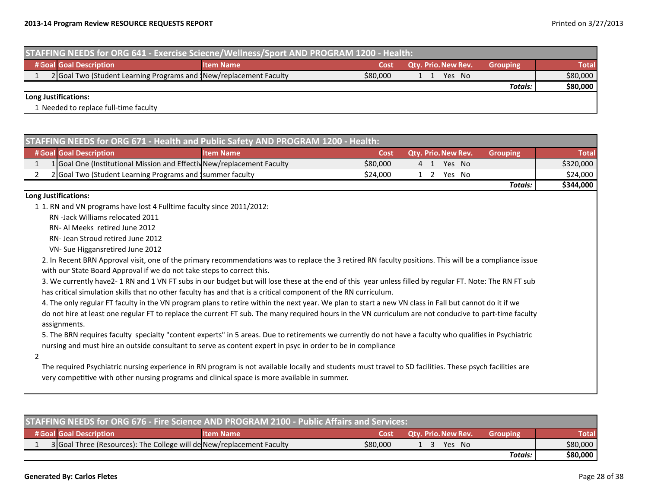| STAFFING NEEDS for ORG 641 - Exercise Sciecne/Wellness/Sport AND PROGRAM 1200 - Health: |                                                                   |                  |          |                            |                 |              |  |  |
|-----------------------------------------------------------------------------------------|-------------------------------------------------------------------|------------------|----------|----------------------------|-----------------|--------------|--|--|
|                                                                                         | # Goal Goal Description                                           | <b>Item Name</b> | Cost     | <b>Qty. Prio. New Rev.</b> | <b>Grouping</b> | <b>Total</b> |  |  |
|                                                                                         | 2 Goal Two (Student Learning Programs and New/replacement Faculty |                  | \$80,000 | Yes No                     |                 | \$80,000     |  |  |
|                                                                                         |                                                                   |                  |          |                            | <b>Totals:</b>  | \$80,000     |  |  |
| Long Justifications:                                                                    |                                                                   |                  |          |                            |                 |              |  |  |
|                                                                                         | 1 Needed to replace full-time faculty                             |                  |          |                            |                 |              |  |  |

|                      | STAFFING NEEDS for ORG 671 - Health and Public Safety AND PROGRAM 1200 - Health:                                                                                                                                                                                      |                  |          |  |  |                     |  |                 |              |
|----------------------|-----------------------------------------------------------------------------------------------------------------------------------------------------------------------------------------------------------------------------------------------------------------------|------------------|----------|--|--|---------------------|--|-----------------|--------------|
|                      | # Goal Goal Description                                                                                                                                                                                                                                               | <b>Item Name</b> | Cost     |  |  | Qty. Prio. New Rev. |  | <b>Grouping</b> | <b>Total</b> |
| $\mathbf{1}$         | 1 Goal One (Institutional Mission and Effectiv New/replacement Faculty                                                                                                                                                                                                |                  | \$80,000 |  |  | 4 1 Yes No          |  |                 | \$320,000    |
| 2                    | 2 Goal Two (Student Learning Programs and Isummer faculty                                                                                                                                                                                                             |                  | \$24,000 |  |  | 1 2 Yes No          |  |                 | \$24,000     |
|                      |                                                                                                                                                                                                                                                                       |                  |          |  |  |                     |  | <b>Totals:</b>  | \$344,000    |
| Long Justifications: |                                                                                                                                                                                                                                                                       |                  |          |  |  |                     |  |                 |              |
|                      | 1 1. RN and VN programs have lost 4 Fulltime faculty since 2011/2012:                                                                                                                                                                                                 |                  |          |  |  |                     |  |                 |              |
|                      | RN-Jack Williams relocated 2011                                                                                                                                                                                                                                       |                  |          |  |  |                     |  |                 |              |
|                      | RN- Al Meeks retired June 2012                                                                                                                                                                                                                                        |                  |          |  |  |                     |  |                 |              |
|                      | RN- Jean Stroud retired June 2012                                                                                                                                                                                                                                     |                  |          |  |  |                     |  |                 |              |
|                      | VN- Sue Higgansretired June 2012                                                                                                                                                                                                                                      |                  |          |  |  |                     |  |                 |              |
|                      | 2. In Recent BRN Approval visit, one of the primary recommendations was to replace the 3 retired RN faculty positions. This will be a compliance issue                                                                                                                |                  |          |  |  |                     |  |                 |              |
|                      | with our State Board Approval if we do not take steps to correct this.                                                                                                                                                                                                |                  |          |  |  |                     |  |                 |              |
|                      | 3. We currently have2-1 RN and 1 VN FT subs in our budget but will lose these at the end of this year unless filled by regular FT. Note: The RN FT sub                                                                                                                |                  |          |  |  |                     |  |                 |              |
|                      | has critical simulation skills that no other faculty has and that is a critical component of the RN curriculum.                                                                                                                                                       |                  |          |  |  |                     |  |                 |              |
|                      | 4. The only regular FT faculty in the VN program plans to retire within the next year. We plan to start a new VN class in Fall but cannot do it if we                                                                                                                 |                  |          |  |  |                     |  |                 |              |
|                      | do not hire at least one regular FT to replace the current FT sub. The many required hours in the VN curriculum are not conducive to part-time faculty<br>assignments.                                                                                                |                  |          |  |  |                     |  |                 |              |
|                      | 5. The BRN requires faculty specialty "content experts" in 5 areas. Due to retirements we currently do not have a faculty who qualifies in Psychiatric<br>nursing and must hire an outside consultant to serve as content expert in psyc in order to be in compliance |                  |          |  |  |                     |  |                 |              |
| 2                    |                                                                                                                                                                                                                                                                       |                  |          |  |  |                     |  |                 |              |
|                      | The required Psychiatric nursing experience in RN program is not available locally and students must travel to SD facilities. These psych facilities are<br>very competitive with other nursing programs and clinical space is more available in summer.              |                  |          |  |  |                     |  |                 |              |

| <b>STAFFING NEEDS for ORG 676 - Fire Science AND PROGRAM 2100 - Public Affairs and Services:</b> |                                                                       |                  |          |                            |                 |              |  |  |
|--------------------------------------------------------------------------------------------------|-----------------------------------------------------------------------|------------------|----------|----------------------------|-----------------|--------------|--|--|
|                                                                                                  | # Goal Goal Description                                               | <b>Item Name</b> | Cost     | <b>Qty. Prio. New Rev.</b> | <b>Grouping</b> | <b>Total</b> |  |  |
|                                                                                                  | 3 Goal Three (Resources): The College will de New/replacement Faculty |                  | \$80,000 | Yes No                     |                 | \$80,000     |  |  |
|                                                                                                  |                                                                       |                  |          |                            | Totals: I       | \$80,000     |  |  |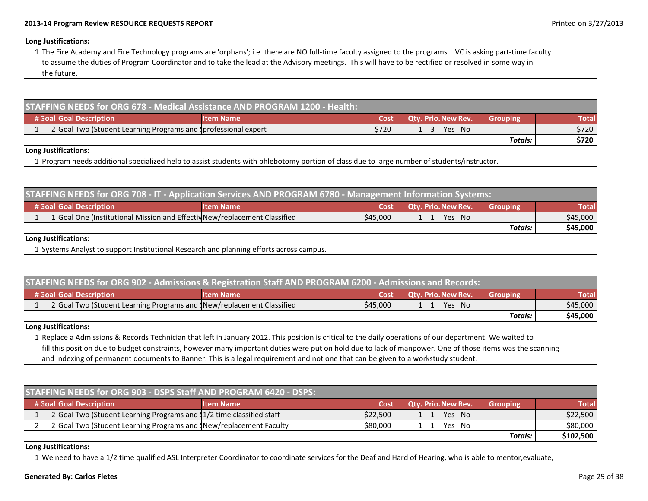### **Long Justifications:**

1 The Fire Academy and Fire Technology programs are 'orphans'; i.e. there are NO full‐time faculty assigned to the programs. IVC is asking part‐time faculty to assume the duties of Program Coordinator and to take the lead at the Advisory meetings. This will have to be rectified or resolved in some way in the future.

| STAFFING NEEDS for ORG 678 - Medical Assistance AND PROGRAM 1200 - Health:                                                                  |                  |       |                            |                 |              |  |  |  |
|---------------------------------------------------------------------------------------------------------------------------------------------|------------------|-------|----------------------------|-----------------|--------------|--|--|--|
| # Goal Goal Description                                                                                                                     | <b>Item Name</b> | Cost  | <b>Qtv. Prio. New Rev.</b> | <b>Grouping</b> | <b>Total</b> |  |  |  |
| 2 Goal Two (Student Learning Programs and Iprofessional expert                                                                              |                  | \$720 | Yes No                     |                 | \$720        |  |  |  |
|                                                                                                                                             |                  |       |                            | Totals:         | \$720        |  |  |  |
| Long Justifications:                                                                                                                        |                  |       |                            |                 |              |  |  |  |
| 1 Program needs additional specialized help to assist students with phlebotomy portion of class due to large number of students/instructor. |                  |       |                            |                 |              |  |  |  |

| STAFFING NEEDS for ORG 708 - IT - Application Services AND PROGRAM 6780 - Management Information Systems: |                                                                                         |                  |          |                            |                 |              |  |  |  |
|-----------------------------------------------------------------------------------------------------------|-----------------------------------------------------------------------------------------|------------------|----------|----------------------------|-----------------|--------------|--|--|--|
|                                                                                                           | # Goal Goal Description                                                                 | <b>Item Name</b> | Cost     | <b>Qty. Prio. New Rev.</b> | <b>Grouping</b> | <b>Total</b> |  |  |  |
|                                                                                                           | 1 Goal One (Institutional Mission and Effectiv New/replacement Classified               |                  | \$45,000 | Yes No                     |                 | \$45,000     |  |  |  |
|                                                                                                           |                                                                                         |                  |          |                            | Totals:         | \$45,000     |  |  |  |
| Long Justifications:                                                                                      |                                                                                         |                  |          |                            |                 |              |  |  |  |
|                                                                                                           | 1 Systems Analyst to support Institutional Research and planning efforts across campus. |                  |          |                            |                 |              |  |  |  |

|     | STAFFING NEEDS for ORG 902 - Admissions & Registration Staff AND PROGRAM 6200 - Admissions and Records: |                   |          |  |                            |                 |              |
|-----|---------------------------------------------------------------------------------------------------------|-------------------|----------|--|----------------------------|-----------------|--------------|
|     | # Goal Goal Description                                                                                 | <b>Nitem Name</b> | Cost     |  | <b>Qty. Prio. New Rev.</b> | <b>Grouping</b> | <b>Total</b> |
|     | 2 Goal Two (Student Learning Programs and New/replacement Classified                                    |                   | \$45,000 |  | Yes No                     |                 | \$45,000     |
|     |                                                                                                         |                   |          |  |                            | Totals:         | \$45,000     |
| . . | $\sim$ $\sim$ $\sim$ $\sim$ $\sim$ $\sim$ $\sim$                                                        |                   |          |  |                            |                 |              |

### **Long Justifications:**

1 Replace <sup>a</sup> Admissions & Records Technician that left in January 2012. This position is critical to the daily operations of our department. We waited to fill this position due to budget constraints, however many important duties were put on hold due to lack of manpower. One of those items was the scanning and indexing of permanent documents to Banner. This is <sup>a</sup> legal requirement and not one that can be given to <sup>a</sup> workstudy student.

| STAFFING NEEDS for ORG 903 - DSPS Staff AND PROGRAM 6420 - DSPS: |                                                                      |          |                            |                 |              |
|------------------------------------------------------------------|----------------------------------------------------------------------|----------|----------------------------|-----------------|--------------|
| # Goal Goal Description                                          | <b>Item Name</b>                                                     | Cost     | <b>Qty. Prio. New Rev.</b> | <b>Grouping</b> | <b>Total</b> |
|                                                                  | 2 Goal Two (Student Learning Programs and 11/2 time classified staff | \$22,500 | Yes No<br>$\setminus$ 1    |                 | \$22,500     |
|                                                                  | 2 Goal Two (Student Learning Programs and New/replacement Faculty    | \$80,000 | Yes No                     |                 | \$80,000     |
|                                                                  |                                                                      |          |                            | Totals:         | \$102,500    |

**Long Justifications:**

1 We need to have <sup>a</sup> 1/2 time qualified ASL Interpreter Coordinator to coordinate services for the Deaf and Hard of Hearing, who is able to mentor,evaluate,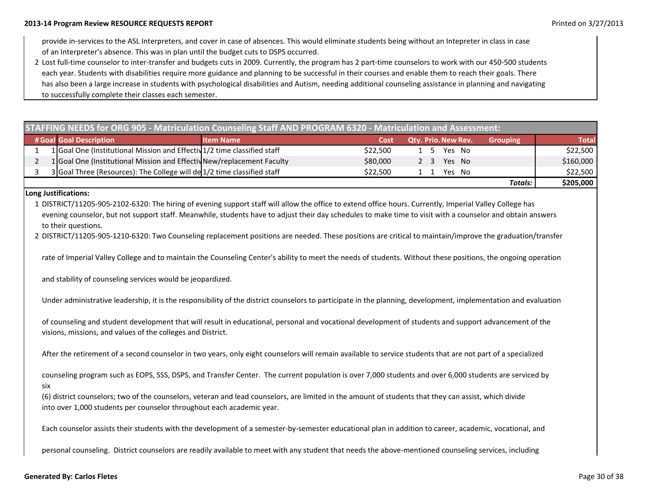provide in-services to the ASL Interpreters, and cover in case of absences. This would eliminate students being without an Intepreter in class in case of an Interpreter's absence. This was in plan until the budget cuts to DSPS occurred.

2 Lost full‐time counselor to inter‐transfer and budgets cuts in 2009. Currently, the program has 2 part‐time counselors to work with our 450‐500 students each year. Students with disabilities require more guidance and planning to be successful in their courses and enable them to reach their goals. There has also been <sup>a</sup> large increase in students with psychological disabilities and Autism, needing additional counseling assistance in planning and navigating to successfully complete their classes each semester.

| STAFFING NEEDS for ORG 905 - Matriculation Counseling Staff AND PROGRAM 6320 - Matriculation and Assessment: |                                                                         |                  |          |                            |                 |              |
|--------------------------------------------------------------------------------------------------------------|-------------------------------------------------------------------------|------------------|----------|----------------------------|-----------------|--------------|
|                                                                                                              | # Goal Goal Description                                                 | <b>Item Name</b> | Cost     | <b>Qtv. Prio. New Rev.</b> | <b>Grouping</b> | <b>Total</b> |
|                                                                                                              | 1 Goal One (Institutional Mission and Effectiv1/2 time classified staff |                  | \$22,500 | Yes No<br>1 5              |                 | \$22,500     |
|                                                                                                              | 1 Goal One (Institutional Mission and Effectiv New/replacement Faculty  |                  | \$80,000 | Yes No<br>2 3              |                 | \$160,000    |
|                                                                                                              | 3 Goal Three (Resources): The College will de 1/2 time classified staff |                  | \$22,500 | Yes No<br>$\blacksquare$   |                 | \$22,500     |
|                                                                                                              |                                                                         |                  |          |                            | Totals:         | \$205,000    |

### **Long Justifications:**

1 DISTRICT/11205‐905‐2102‐6320: The hiring of evening support staff will allow the office to extend office hours. Currently, Imperial Valley College has evening counselor, but not support staff. Meanwhile, students have to adjust their day schedules to make time to visit with <sup>a</sup> counselor and obtain answers to their questions.

2 DISTRICT/11205‐905‐1210‐6320: Two Counseling replacement positions are needed. These positions are critical to maintain/improve the graduation/transfer

rate of Imperial Valley College and to maintain the Counseling Center's ability to meet the needs of students. Without these positions, the ongoing operation

and stability of counseling services would be jeopardized.

Under administrative leadership, it is the responsibility of the district counselors to participate in the planning, development, implementation and evaluation

of counseling and student development that will result in educational, personal and vocational development of students and support advancement of the visions, missions, and values of the colleges and District.

After the retirement of <sup>a</sup> second counselor in two years, only eight counselors will remain available to service students that are not part of <sup>a</sup> specialized

counseling program such as EOPS, SSS, DSPS, and Transfer Center. The current population is over 7,000 students and over 6,000 students are serviced by six

(6) district counselors; two of the counselors, veteran and lead counselors, are limited in the amount of students that they can assist, which divide into over 1,000 students per counselor throughout each academic year.

Each counselor assists their students with the development of <sup>a</sup> semester‐by‐semester educational plan in addition to career, academic, vocational, and

personal counseling. District counselors are readily available to meet with any student that needs the above-mentioned counseling services, including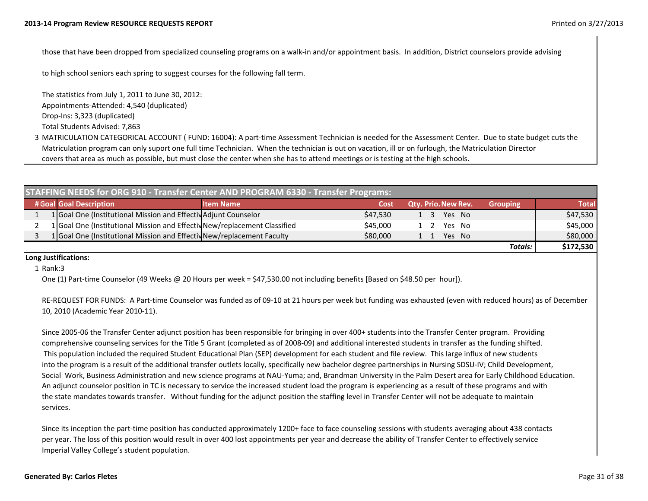those that have been dropped from specialized counseling programs on <sup>a</sup> walk‐in and/or appointment basis. In addition, District counselors provide advising

to high school seniors each spring to suggest courses for the following fall term.

The statistics from July 1, 2011 to June 30, 2012: Appointments‐Attended: 4,540 (duplicated) Drop-Ins: 3,323 (duplicated) Total Students Advised: 7,863

3MATRICULATION CATEGORICAL ACCOUNT ( FUND: 16004): A part‐time Assessment Technician is needed for the Assessment Center. Due to state budget cuts the Matriculation program can only suport one full time Technician. When the technician is out on vacation, ill or on furlough, the Matriculation Director covers that area as much as possible, but must close the center when she has to attend meetings or is testing at the high schools.

| STAFFING NEEDS for ORG 910 - Transfer Center AND PROGRAM 6330 - Transfer Programs: |                                                                           |                  |          |                      |                 |              |
|------------------------------------------------------------------------------------|---------------------------------------------------------------------------|------------------|----------|----------------------|-----------------|--------------|
|                                                                                    | # Goal Goal Description                                                   | <b>Item Name</b> | Cost     | Qty. Prio. New Rev.  | <b>Grouping</b> | <b>Total</b> |
|                                                                                    | 1 Goal One (Institutional Mission and Effectiv Adjunt Counselor           |                  | \$47,530 | 1 3 Yes No           |                 | \$47,530     |
|                                                                                    | 1 Goal One (Institutional Mission and Effectiv New/replacement Classified |                  | \$45,000 | Yes No<br>$1\quad 2$ |                 | \$45,000     |
|                                                                                    | 1 Goal One (Institutional Mission and Effectiv New/replacement Faculty    |                  | \$80,000 | Yes No               |                 | \$80,000     |
|                                                                                    |                                                                           |                  |          |                      | <b>Totals:</b>  | \$172,530    |

### **Long Justifications:**

1Rank:3

One (1) Part‐time Counselor (49 Weeks @ 20 Hours per week <sup>=</sup> \$47,530.00 not including benefits [Based on \$48.50 per hour]).

RE-REQUEST FOR FUNDS: A Part-time Counselor was funded as of 09-10 at 21 hours per week but funding was exhausted (even with reduced hours) as of December 10, 2010 (Academic Year 2010‐11).

Since 2005‐06 the Transfer Center adjunct position has been responsible for bringing in over 400+ students into the Transfer Center program. Providing comprehensive counseling services for the Title 5 Grant (completed as of 2008‐09) and additional interested students in transfer as the funding shifted. This population included the required Student Educational Plan (SEP) development for each student and file review. This large influx of new students into the program is <sup>a</sup> result of the additional transfer outlets locally, specifically new bachelor degree partnerships in Nursing SDSU‐IV; Child Development, Social Work, Business Administration and new science programs at NAU‐Yuma; and, Brandman University in the Palm Desert area for Early Childhood Education. An adjunct counselor position in TC is necessary to service the increased student load the program is experiencing as <sup>a</sup> result of these programs and with the state mandates towards transfer. Without funding for the adjunct position the staffing level in Transfer Center will not be adequate to maintain services.

Since its inception the part‐time position has conducted approximately 1200+ face to face counseling sessions with students averaging about 438 contacts per year. The loss of this position would result in over 400 lost appointments per year and decrease the ability of Transfer Center to effectively service Imperial Valley College's student population.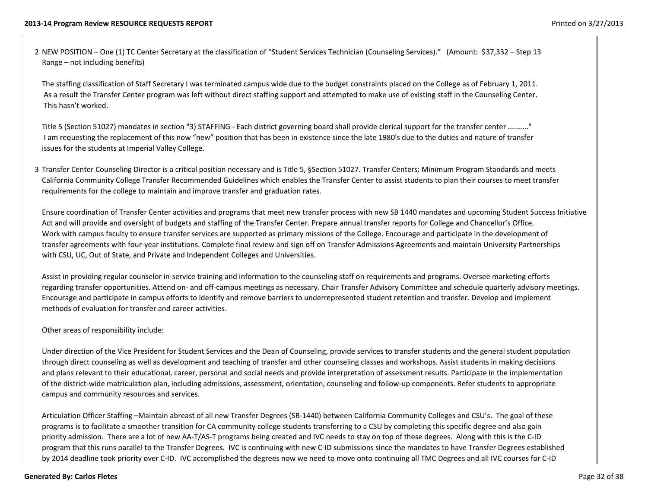2 NEW POSITION – One (1) TC Center Secretary at the classification of "Student Services Technician (Counseling Services)." (Amount: \$37,332 – Step 13 Range – not including benefits)

The staffing classification of Staff Secretary I was terminated campus wide due to the budget constraints placed on the College as of February 1, 2011. As a result the Transfer Center program was left without direct staffing support and attempted to make use of existing staff in the Counseling Center. This hasn't worked.

Title 5 (Section 51027) mandates in section "3) STAFFING ‐ Each district governing board shall provide clerical support for the transfer center .........." I am requesting the replacement of this now "new" position that has been in existence since the late 1980's due to the duties and nature of transfer issues for the students at Imperial Valley College.

3 Transfer Center Counseling Director is <sup>a</sup> critical position necessary and is Title 5, §Section 51027. Transfer Centers: Minimum Program Standards and meets California Community College Transfer Recommended Guidelines which enables the Transfer Center to assist students to plan their courses to meet transfer requirements for the college to maintain and improve transfer and graduation rates.

Ensure coordination of Transfer Center activities and programs that meet new transfer process with new SB 1440 mandates and upcoming Student Success Initiative Act and will provide and oversight of budgets and staffing of the Transfer Center. Prepare annual transfer reports for College and Chancellor's Office. Work with campus faculty to ensure transfer services are supported as primary missions of the College. Encourage and participate in the development of transfer agreements with four‐year institutions. Complete final review and sign off on Transfer Admissions Agreements and maintain University Partnerships with CSU, UC, Out of State, and Private and Independent Colleges and Universities.

Assist in providing regular counselor in‐service training and information to the counseling staff on requirements and programs. Oversee marketing efforts regarding transfer opportunities. Attend on‐ and off‐campus meetings as necessary. Chair Transfer Advisory Committee and schedule quarterly advisory meetings. Encourage and participate in campus efforts to identify and remove barriers to underrepresented student retention and transfer. Develop and implement methods of evaluation for transfer and career activities.

### Other areas of responsibility include:

Under direction of the Vice President for Student Services and the Dean of Counseling, provide services to transfer students and the general student population through direct counseling as well as development and teaching of transfer and other counseling classes and workshops. Assist students in making decisions and plans relevant to their educational, career, personal and social needs and provide interpretation of assessment results. Participate in the implementation of the district-wide matriculation plan, including admissions, assessment, orientation, counseling and follow-up components. Refer students to appropriate campus and community resources and services.

Articulation Officer Staffing –Maintain abreast of all new Transfer Degrees (SB‐1440) between California Community Colleges and CSU's. The goal of these programs is to facilitate <sup>a</sup> smoother transition for CA community college students transferring to <sup>a</sup> CSU by completing this specific degree and also gain priority admission. There are <sup>a</sup> lot of new AA‐T/AS‐T programs being created and IVC needs to stay on top of these degrees. Along with this is the C‐ID program that this runs parallel to the Transfer Degrees. IVC is continuing with new C-ID submissions since the mandates to have Transfer Degrees established by 2014 deadline took priority over C‐ID. IVC accomplished the degrees now we need to move onto continuing all TMC Degrees and all IVC courses for C‐ID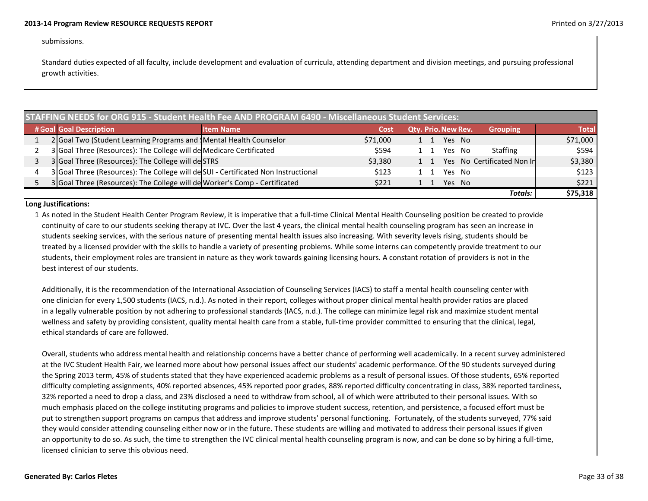### submissions.

Standard duties expected of all faculty, include development and evaluation of curricula, attending department and division meetings, and pursuing professional growth activities.

| <b>STAFFING NEEDS for ORG 915 - Student Health Fee AND PROGRAM 6490 - Miscellaneous Student Services:</b> |                                                                                    |                  |          |                            |        |                            |              |
|-----------------------------------------------------------------------------------------------------------|------------------------------------------------------------------------------------|------------------|----------|----------------------------|--------|----------------------------|--------------|
|                                                                                                           | # Goal Goal Description                                                            | <b>Item Name</b> | Cost     | <b>Qty. Prio. New Rev.</b> |        | <b>Grouping</b>            | <b>Total</b> |
|                                                                                                           | 2 Goal Two (Student Learning Programs and Mental Health Counselor                  |                  | \$71,000 | 1 1                        | Yes No |                            | \$71,000     |
|                                                                                                           | 3 Goal Three (Resources): The College will de Medicare Certificated                |                  | \$594    |                            | Yes No | <b>Staffing</b>            | \$594        |
|                                                                                                           | 3 Goal Three (Resources): The College will de STRS                                 |                  | \$3.380  |                            |        | Yes No Certificated Non In | \$3,380      |
|                                                                                                           | 3 Goal Three (Resources): The College will de SUI - Certificated Non Instructional |                  | \$123    |                            | Yes No |                            | \$123        |
|                                                                                                           | 3 Goal Three (Resources): The College will de Worker's Comp - Certificated         |                  | \$221    |                            | Yes No |                            | \$221        |
|                                                                                                           |                                                                                    |                  |          |                            |        | Totals:                    | \$75,318     |

### **Long Justifications:**

1As noted in the Student Health Center Program Review, it is imperative that <sup>a</sup> full‐time Clinical Mental Health Counseling position be created to provide continuity of care to our students seeking therapy at IVC. Over the last 4 years, the clinical mental health counseling program has seen an increase in students seeking services, with the serious nature of presenting mental health issues also increasing. With severity levels rising, students should be treated by <sup>a</sup> licensed provider with the skills to handle <sup>a</sup> variety of presenting problems. While some interns can competently provide treatment to our students, their employment roles are transient in nature as they work towards gaining licensing hours. A constant rotation of providers is not in the best interest of our students.

Additionally, it is the recommendation of the International Association of Counseling Services (IACS) to staff <sup>a</sup> mental health counseling center with one clinician for every 1,500 students (IACS, n.d.). As noted in their report, colleges without proper clinical mental health provider ratios are placed in <sup>a</sup> legally vulnerable position by not adhering to professional standards (IACS, n.d.). The college can minimize legal risk and maximize student mental wellness and safety by providing consistent, quality mental health care from <sup>a</sup> stable, full‐time provider committed to ensuring that the clinical, legal, ethical standards of care are followed.

Overall, students who address mental health and relationship concerns have <sup>a</sup> better chance of performing well academically. In <sup>a</sup> recent survey administered at the IVC Student Health Fair, we learned more about how personal issues affect our students' academic performance. Of the 90 students surveyed during the Spring 2013 term, 45% of students stated that they have experienced academic problems as <sup>a</sup> result of personal issues. Of those students, 65% reported difficulty completing assignments, 40% reported absences, 45% reported poor grades, 88% reported difficulty concentrating in class, 38% reported tardiness, 32% reported <sup>a</sup> need to drop <sup>a</sup> class, and 23% disclosed <sup>a</sup> need to withdraw from school, all of which were attributed to their personal issues. With so much emphasis placed on the college instituting programs and policies to improve student success, retention, and persistence, <sup>a</sup> focused effort must be put to strengthen support programs on campus that address and improve students' personal functioning. Fortunately, of the students surveyed, 77% said they would consider attending counseling either now or in the future. These students are willing and motivated to address their personal issues if given an opportunity to do so. As such, the time to strengthen the IVC clinical mental health counseling program is now, and can be done so by hiring <sup>a</sup> full‐time, licensed clinician to serve this obvious need.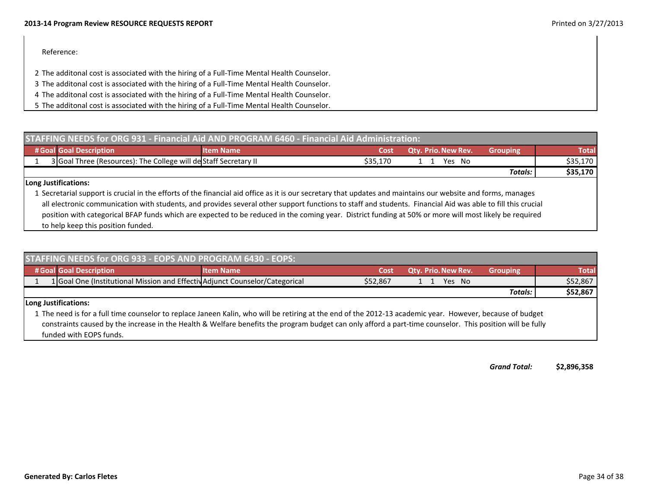### Reference:

- 2 The additonal cost is associated with the hiring of <sup>a</sup> Full‐Time Mental Health Counselor.
- 3 The additonal cost is associated with the hiring of <sup>a</sup> Full‐Time Mental Health Counselor.
- 4 The additonal cost is associated with the hiring of <sup>a</sup> Full‐Time Mental Health Counselor.
- 5 The additonal cost is associated with the hiring of <sup>a</sup> Full‐Time Mental Health Counselor.

| <b>STAFFING NEEDS for ORG 931 - Financial Aid AND PROGRAM 6460 - Financial Aid Administration:</b>                                                                                                                                                        |                  |          |                            |                 |          |
|-----------------------------------------------------------------------------------------------------------------------------------------------------------------------------------------------------------------------------------------------------------|------------------|----------|----------------------------|-----------------|----------|
| # Goal Goal Description                                                                                                                                                                                                                                   | <b>Item Name</b> | Cost     | <b>Qty. Prio. New Rev.</b> | <b>Grouping</b> | Total    |
| 3 Goal Three (Resources): The College will de Staff Secretary II                                                                                                                                                                                          |                  | \$35.170 | Yes No                     |                 | \$35,170 |
|                                                                                                                                                                                                                                                           |                  |          |                            | Totals:         | \$35,170 |
| Long Justifications:<br>$\mathcal{A}$ , and the set of the set of the set of the set of the set of the set of the set of the set of the set of the set of the set of the set of the set of the set of the set of the set of the set of the set of the set |                  |          |                            |                 |          |

1 Secretarial support is crucial in the efforts of the financial aid office as it is our secretary that updates and maintains our website and forms, manages all electronic communication with students, and provides several other support functions to staff and students. Financial Aid was able to fill this crucial position with categorical BFAP funds which are expected to be reduced in the coming year. District funding at 50% or more will most likely be required to help keep this position funded.

| <b>STAFFING NEEDS for ORG 933 - EOPS AND PROGRAM 6430 - EOPS:</b> |                                                                                                                                                                                                                                                                                                                                                   |                  |          |                            |                 |              |
|-------------------------------------------------------------------|---------------------------------------------------------------------------------------------------------------------------------------------------------------------------------------------------------------------------------------------------------------------------------------------------------------------------------------------------|------------------|----------|----------------------------|-----------------|--------------|
|                                                                   | # Goal Goal Description                                                                                                                                                                                                                                                                                                                           | <b>Item Name</b> | Cost     | <b>Qtv. Prio. New Rev.</b> | <b>Grouping</b> | <b>Total</b> |
|                                                                   | 1 Goal One (Institutional Mission and Effectiv Adjunct Counselor/Categorical                                                                                                                                                                                                                                                                      |                  | \$52,867 | Yes No                     |                 | \$52,867     |
|                                                                   |                                                                                                                                                                                                                                                                                                                                                   |                  |          |                            | <b>Totals:</b>  | \$52,867     |
|                                                                   | Long Justifications:                                                                                                                                                                                                                                                                                                                              |                  |          |                            |                 |              |
|                                                                   | 1 The need is for a full time counselor to replace Janeen Kalin, who will be retiring at the end of the 2012-13 academic year. However, because of budget<br>constraints caused by the increase in the Health & Welfare benefits the program budget can only afford a part-time counselor. This position will be fully<br>funded with EOPS funds. |                  |          |                            |                 |              |

*GrandTotal:* **\$2,896,358**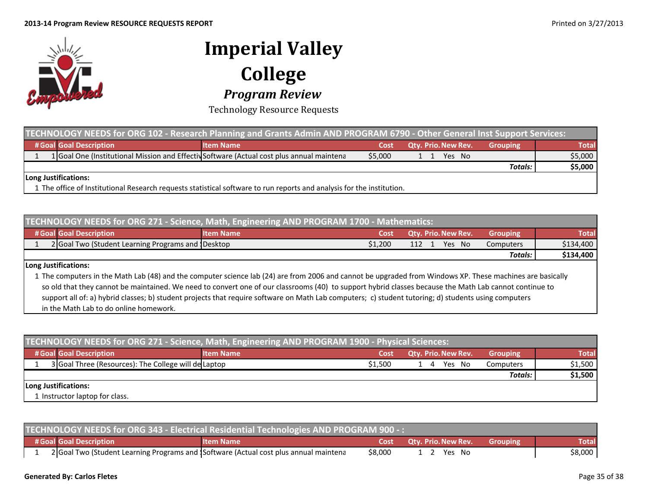

Technology Resource Requests

| TECHNOLOGY NEEDS for ORG 102 - Research Planning and Grants Admin AND PROGRAM 6790 - Other General Inst Support Services: |                                                                                           |         |                            |                 |              |
|---------------------------------------------------------------------------------------------------------------------------|-------------------------------------------------------------------------------------------|---------|----------------------------|-----------------|--------------|
| # Goal Goal Description                                                                                                   | <b>Item Name</b>                                                                          | Cost    | <b>Qty. Prio. New Rev.</b> | <b>Grouping</b> | <b>Total</b> |
|                                                                                                                           | 1 Goal One (Institutional Mission and Effectiv Software (Actual cost plus annual maintena | \$5,000 | Yes No<br>1 1              |                 | \$5,000      |
|                                                                                                                           |                                                                                           |         |                            | <b>Totals:</b>  | \$5,000      |
| Long Justifications:                                                                                                      |                                                                                           |         |                            |                 |              |
| 1 The office of Institutional Research requests statistical software to run reports and analysis for the institution.     |                                                                                           |         |                            |                 |              |

| TECHNOLOGY NEEDS for ORG 271 - Science, Math, Engineering AND PROGRAM 1700 - Mathematics: |                                                                                                                                                      |                                                                                                                                                           |         |                            |                 |              |
|-------------------------------------------------------------------------------------------|------------------------------------------------------------------------------------------------------------------------------------------------------|-----------------------------------------------------------------------------------------------------------------------------------------------------------|---------|----------------------------|-----------------|--------------|
|                                                                                           | # Goal Goal Description                                                                                                                              | <b>Item Name</b>                                                                                                                                          | Cost    | <b>Qtv. Prio. New Rev.</b> | <b>Grouping</b> | <b>Total</b> |
|                                                                                           | 2 Goal Two (Student Learning Programs and 1Desktop                                                                                                   |                                                                                                                                                           | \$1,200 | Yes No<br>112              | Computers       | \$134,400    |
|                                                                                           |                                                                                                                                                      |                                                                                                                                                           |         |                            | <b>Totals:</b>  | \$134,400    |
| <b>Long Justifications:</b>                                                               |                                                                                                                                                      |                                                                                                                                                           |         |                            |                 |              |
|                                                                                           |                                                                                                                                                      | 1 The computers in the Math Lab (48) and the computer science lab (24) are from 2006 and cannot be upgraded from Windows XP. These machines are basically |         |                            |                 |              |
|                                                                                           |                                                                                                                                                      | so old that they cannot be maintained. We need to convert one of our classrooms (40) to support hybrid classes because the Math Lab cannot continue to    |         |                            |                 |              |
|                                                                                           | support all of: a) hybrid classes; b) student projects that require software on Math Lab computers; c) student tutoring; d) students using computers |                                                                                                                                                           |         |                            |                 |              |
|                                                                                           | in the Math Lab to do online homework.                                                                                                               |                                                                                                                                                           |         |                            |                 |              |

| TECHNOLOGY NEEDS for ORG 271 - Science, Math, Engineering AND PROGRAM 1900 - Physical Sciences: |                                                      |                  |         |                            |                 |              |
|-------------------------------------------------------------------------------------------------|------------------------------------------------------|------------------|---------|----------------------------|-----------------|--------------|
|                                                                                                 | # Goal Goal Description                              | <b>Item Name</b> | Cost    | <b>Qty. Prio. New Rev.</b> | <b>Grouping</b> | <b>Total</b> |
|                                                                                                 | 3 Goal Three (Resources): The College will de Laptop |                  | \$1.500 | Yes No<br>$\overline{4}$   | Computers       | \$1,500      |
|                                                                                                 |                                                      |                  |         |                            | <b>Totals:</b>  | \$1,500      |
|                                                                                                 | Long Justifications:                                 |                  |         |                            |                 |              |
|                                                                                                 | 1 Instructor laptop for class.                       |                  |         |                            |                 |              |

| TECHNOLOGY NEEDS for ORG 343 - Electrical Residential Technologies AND PROGRAM 900 -: |                   |         |                                 |                 |              |
|---------------------------------------------------------------------------------------|-------------------|---------|---------------------------------|-----------------|--------------|
| # Goal Goal Description                                                               | <b>Nitem Name</b> |         | <b>Cost Qtv. Prio. New Rev.</b> | <b>Grouping</b> | <b>Total</b> |
| 2 Goal Two (Student Learning Programs and Software (Actual cost plus annual maintena  |                   | \$8,000 | 1 2 Yes No                      |                 | \$8,000      |

### **Generated By: Carlos Fletes** Page 35 of 38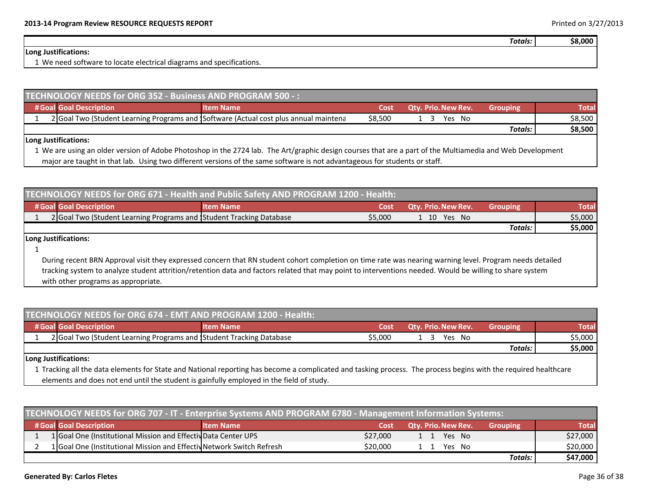| Totals: . | \$8.000 |
|-----------|---------|

### **Long Justifications:**

1 We need software to locate electrical diagrams and specifications.

| TECHNOLOGY NEEDS for ORG 352 - Business AND PROGRAM 500 -: |                         |                                                                                      |         |                            |                 |              |  |  |  |
|------------------------------------------------------------|-------------------------|--------------------------------------------------------------------------------------|---------|----------------------------|-----------------|--------------|--|--|--|
|                                                            | # Goal Goal Description | <b>Item Name</b>                                                                     | Cost    | <b>Qty. Prio. New Rev.</b> | <b>Grouping</b> | <b>Total</b> |  |  |  |
|                                                            |                         | 2 Goal Two (Student Learning Programs and Software (Actual cost plus annual maintena | \$8,500 | Yes No                     |                 | \$8,500      |  |  |  |
|                                                            |                         |                                                                                      |         |                            | <b>Totals:</b>  | \$8,500      |  |  |  |
|                                                            | ll ong luctifications:  |                                                                                      |         |                            |                 |              |  |  |  |

### **Long Justifications:**

1 We are using an older version of Adobe Photoshop in the 2724 lab. The Art/graphic design courses that are <sup>a</sup> part of the Multiamedia and Web Development major are taught in that lab. Using two different versions of the same software is not advantageous for students or staff.

| TECHNOLOGY NEEDS for ORG 671 - Health and Public Safety AND PROGRAM 1200 - Health:                   |         |  |  |  |  |  |
|------------------------------------------------------------------------------------------------------|---------|--|--|--|--|--|
| # Goal Goal Description<br><b>Qty. Prio. New Rev.</b><br><b>Item Name</b><br><b>Grouping</b><br>Cost | Total   |  |  |  |  |  |
| \$5,000<br>2 Goal Two (Student Learning Programs and Student Tracking Database<br>1 10 Yes No        | \$5,000 |  |  |  |  |  |
| Totals:                                                                                              | \$5,000 |  |  |  |  |  |

**Long Justifications:**

1

During recent BRN Approval visit they expressed concern that RN student cohort completion on time rate was nearing warning level. Program needs detailed tracking system to analyze student attrition/retention data and factors related that may point to interventions needed. Would be willing to share system with other programs as appropriate.

| TECHNOLOGY NEEDS for ORG 674 - EMT AND PROGRAM 1200 - Health: |                                                                     |                  |         |                            |                 |         |  |  |
|---------------------------------------------------------------|---------------------------------------------------------------------|------------------|---------|----------------------------|-----------------|---------|--|--|
|                                                               | # Goal Goal Description                                             | <b>Item Name</b> | Cost    | <b>Qty. Prio. New Rev.</b> | <b>Grouping</b> | Total   |  |  |
|                                                               | 2 Goal Two (Student Learning Programs and Student Tracking Database |                  | \$5.000 | Yes No                     |                 | \$5,000 |  |  |
|                                                               |                                                                     |                  |         |                            | Totals:         | \$5,000 |  |  |
|                                                               | Long Justifications:                                                |                  |         |                            |                 |         |  |  |

1 Tracking all the data elements for State and National reporting has become <sup>a</sup> complicated and tasking process. The process begins with the required healthcare elements and does not end until the student is gainfully employed in the field of study.

| TECHNOLOGY NEEDS for ORG 707 - IT - Enterprise Systems AND PROGRAM 6780 - Management Information Systems: |                                                                       |                  |          |                            |                 |              |  |  |
|-----------------------------------------------------------------------------------------------------------|-----------------------------------------------------------------------|------------------|----------|----------------------------|-----------------|--------------|--|--|
|                                                                                                           | # Goal Goal Description                                               | <b>Item Name</b> | Cost     | <b>Qty. Prio. New Rev.</b> | <b>Grouping</b> | <b>Total</b> |  |  |
|                                                                                                           | 1 Goal One (Institutional Mission and Effectiv Data Center UPS        |                  | \$27,000 | 1 1 Yes No                 |                 | \$27,000     |  |  |
|                                                                                                           | 1 Goal One (Institutional Mission and Effectiv Network Switch Refresh |                  | \$20,000 | Yes No                     |                 | \$20,000     |  |  |
|                                                                                                           |                                                                       |                  |          |                            | <b>Totals:</b>  | \$47,000     |  |  |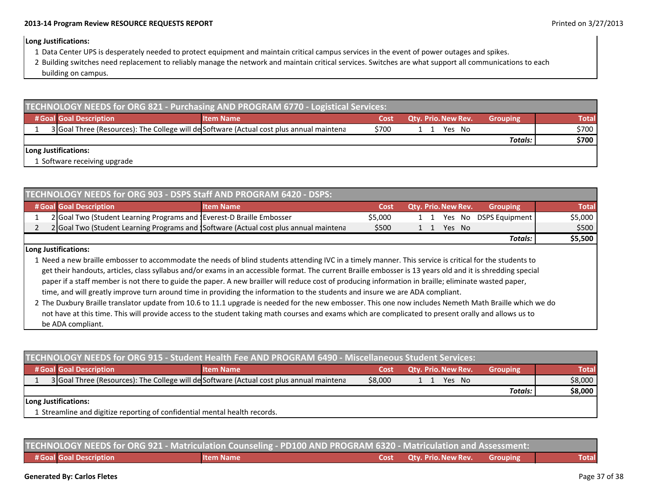### **Long Justifications:**

- 1 Data Center UPS is desperately needed to protect equipment and maintain critical campus services in the event of power outages and spikes.
- 2 Building switches need replacement to reliably manage the network and maintain critical services. Switches are what support all communications to each building on campus.

| TECHNOLOGY NEEDS for ORG 821 - Purchasing AND PROGRAM 6770 - Logistical Services: |  |                              |                                                                                          |       |                            |                 |              |  |
|-----------------------------------------------------------------------------------|--|------------------------------|------------------------------------------------------------------------------------------|-------|----------------------------|-----------------|--------------|--|
|                                                                                   |  | # Goal Goal Description      | <b>Item Name</b>                                                                         | Cost  | <b>Qty. Prio. New Rev.</b> | <b>Grouping</b> | <b>Total</b> |  |
|                                                                                   |  |                              | 3 Goal Three (Resources): The College will de Software (Actual cost plus annual maintena | \$700 | Yes No                     |                 | \$700        |  |
|                                                                                   |  |                              |                                                                                          |       |                            | <b>Totals:</b>  | \$700        |  |
|                                                                                   |  | Long Justifications:         |                                                                                          |       |                            |                 |              |  |
|                                                                                   |  | 1 Software receiving upgrade |                                                                                          |       |                            |                 |              |  |

| TECHNOLOGY NEEDS for ORG 903 - DSPS Staff AND PROGRAM 6420 - DSPS: |                                                                                                                                                         |                                                                                      |         |                            |  |  |        |                           |              |
|--------------------------------------------------------------------|---------------------------------------------------------------------------------------------------------------------------------------------------------|--------------------------------------------------------------------------------------|---------|----------------------------|--|--|--------|---------------------------|--------------|
|                                                                    | # Goal Goal Description                                                                                                                                 | <b>Item Name</b>                                                                     | Cost    | <b>Qty. Prio. New Rev.</b> |  |  |        | <b>Grouping</b>           | <b>Total</b> |
|                                                                    | 2 Goal Two (Student Learning Programs and Teverest-D Braille Embosser                                                                                   |                                                                                      | \$5,000 |                            |  |  |        | 1 1 Yes No DSPS Equipment | \$5,000      |
|                                                                    |                                                                                                                                                         | 2 Goal Two (Student Learning Programs and Software (Actual cost plus annual maintena | \$500   |                            |  |  | Yes No |                           | \$500        |
| Totals:                                                            |                                                                                                                                                         |                                                                                      |         |                            |  |  |        | \$5,500                   |              |
| Long Justifications:                                               |                                                                                                                                                         |                                                                                      |         |                            |  |  |        |                           |              |
|                                                                    | 1 Need a new braille embosser to accommodate the needs of blind students attending IVC in a timely manner. This service is critical for the students to |                                                                                      |         |                            |  |  |        |                           |              |

 a newembosser to accommodate the needs of blind students attending IVC in a timely manner. This service is critical for the students to get their handouts, articles, class syllabus and/or exams in an accessible format. The current Braille embosser is 13 years old and it is shredding special paper if <sup>a</sup> staff member is not there to guide the paper. A new brailler will reduce cost of producing information in braille; eliminate wasted paper, time, and will greatly improve turn around time in providing the information to the students and insure we are ADA compliant.

2 The Duxbury Braille translator update from 10.6 to 11.1 upgrade is needed for the new embosser. This one now includes Nemeth Math Braille which we do not have at this time. This will provide access to the student taking math courses and exams which are complicated to present orally and allows us to be ADA compliant.

| TECHNOLOGY NEEDS for ORG 915 - Student Health Fee AND PROGRAM 6490 - Miscellaneous Student Services: |                                                                            |                                                                                          |         |                            |                 |              |  |  |
|------------------------------------------------------------------------------------------------------|----------------------------------------------------------------------------|------------------------------------------------------------------------------------------|---------|----------------------------|-----------------|--------------|--|--|
|                                                                                                      | # Goal Goal Description                                                    | <b>Item Name</b>                                                                         | Cost    | <b>Qty. Prio. New Rev.</b> | <b>Grouping</b> | <b>Total</b> |  |  |
|                                                                                                      |                                                                            | 3 Goal Three (Resources): The College will de Software (Actual cost plus annual maintena | \$8,000 | Yes No<br>1 1              |                 | \$8,000      |  |  |
|                                                                                                      |                                                                            |                                                                                          |         |                            | <b>Totals:</b>  | \$8,000      |  |  |
|                                                                                                      | Long Justifications:                                                       |                                                                                          |         |                            |                 |              |  |  |
|                                                                                                      | 1 Streamline and digitize reporting of confidential mental health records. |                                                                                          |         |                            |                 |              |  |  |

| TECHNOLOGY NEEDS for ORG 921 - Matriculation Counseling - PD100 AND PROGRAM 6320 - Matriculation and Assessment: |                         |           |  |                                          |  |       |  |  |  |
|------------------------------------------------------------------------------------------------------------------|-------------------------|-----------|--|------------------------------------------|--|-------|--|--|--|
|                                                                                                                  | # Goal Goal Description | Item Name |  | <b>Cost Qty. Prio. New Rev.</b> Grouping |  | Total |  |  |  |